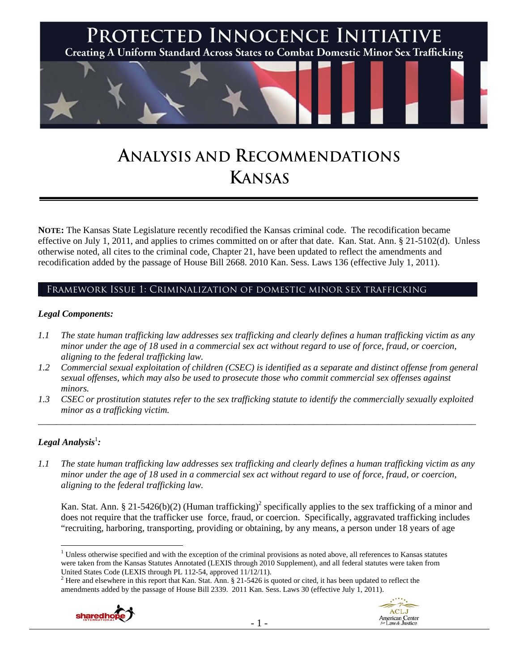

# **ANALYSIS AND RECOMMENDATIONS KANSAS**

**NOTE:** The Kansas State Legislature recently recodified the Kansas criminal code. The recodification became effective on July 1, 2011, and applies to crimes committed on or after that date. Kan. Stat. Ann. § 21-5102(d). Unless otherwise noted, all cites to the criminal code, Chapter 21, have been updated to reflect the amendments and recodification added by the passage of House Bill 2668. 2010 Kan. Sess. Laws 136 (effective July 1, 2011).

# Framework Issue 1: Criminalization of domestic minor sex trafficking

#### *Legal Components:*

- *1.1 The state human trafficking law addresses sex trafficking and clearly defines a human trafficking victim as any minor under the age of 18 used in a commercial sex act without regard to use of force, fraud, or coercion, aligning to the federal trafficking law.*
- *1.2 Commercial sexual exploitation of children (CSEC) is identified as a separate and distinct offense from general sexual offenses, which may also be used to prosecute those who commit commercial sex offenses against minors.*
- *1.3 CSEC or prostitution statutes refer to the sex trafficking statute to identify the commercially sexually exploited minor as a trafficking victim.*  \_\_\_\_\_\_\_\_\_\_\_\_\_\_\_\_\_\_\_\_\_\_\_\_\_\_\_\_\_\_\_\_\_\_\_\_\_\_\_\_\_\_\_\_\_\_\_\_\_\_\_\_\_\_\_\_\_\_\_\_\_\_\_\_\_\_\_\_\_\_\_\_\_\_\_\_\_\_\_\_\_\_\_\_\_\_\_\_\_\_\_\_\_\_

# $\bm{L}$ egal Analysis $^1$ :

 $\overline{a}$ 

*1.1 The state human trafficking law addresses sex trafficking and clearly defines a human trafficking victim as any minor under the age of 18 used in a commercial sex act without regard to use of force, fraud, or coercion, aligning to the federal trafficking law.* 

Kan. Stat. Ann. § 21-5426(b)(2) (Human trafficking)<sup>2</sup> specifically applies to the sex trafficking of a minor and does not require that the trafficker use force, fraud, or coercion. Specifically, aggravated trafficking includes "recruiting, harboring, transporting, providing or obtaining, by any means, a person under 18 years of age

 $2$  Here and elsewhere in this report that Kan. Stat. Ann. § 21-5426 is quoted or cited, it has been updated to reflect the amendments added by the passage of House Bill 2339. 2011 Kan. Sess. Laws 30 (effective July 1, 2011).





<sup>&</sup>lt;sup>1</sup> Unless otherwise specified and with the exception of the criminal provisions as noted above, all references to Kansas statutes were taken from the Kansas Statutes Annotated (LEXIS through 2010 Supplement), and all federal statutes were taken from United States Code (LEXIS through PL 112-54, approved 11/12/11). 2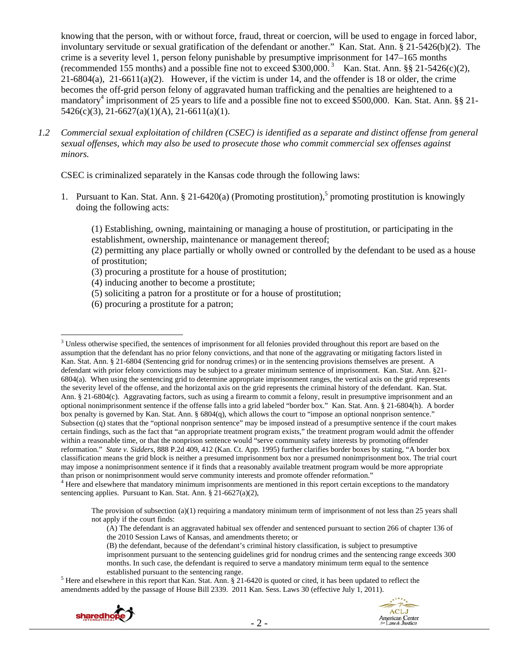knowing that the person, with or without force, fraud, threat or coercion, will be used to engage in forced labor, involuntary servitude or sexual gratification of the defendant or another." Kan. Stat. Ann. § 21-5426(b)(2). The crime is a severity level 1, person felony punishable by presumptive imprisonment for 147–165 months (recommended 155 months) and a possible fine not to exceed  $\hat{3}300,000$ .<sup>3</sup> Kan. Stat. Ann. §§ 21-5426(c)(2), 21-6804(a), 21-6611(a)(2). However, if the victim is under 14, and the offender is 18 or older, the crime becomes the off-grid person felony of aggravated human trafficking and the penalties are heightened to a mandatory<sup>4</sup> imprisonment of 25 years to life and a possible fine not to exceed \$500,000. Kan. Stat. Ann. §§ 21-5426(c)(3), 21-6627(a)(1)(A), 21-6611(a)(1).

*1.2 Commercial sexual exploitation of children (CSEC) is identified as a separate and distinct offense from general sexual offenses, which may also be used to prosecute those who commit commercial sex offenses against minors.* 

CSEC is criminalized separately in the Kansas code through the following laws:

1. Pursuant to Kan. Stat. Ann.  $\S 21-6420(a)$  (Promoting prostitution),<sup>5</sup> promoting prostitution is knowingly doing the following acts:

(1) Establishing, owning, maintaining or managing a house of prostitution, or participating in the establishment, ownership, maintenance or management thereof;

(2) permitting any place partially or wholly owned or controlled by the defendant to be used as a house of prostitution;

(3) procuring a prostitute for a house of prostitution;

(4) inducing another to become a prostitute;

- (5) soliciting a patron for a prostitute or for a house of prostitution;
- (6) procuring a prostitute for a patron;

 $<sup>5</sup>$  Here and elsewhere in this report that Kan. Stat. Ann. § 21-6420 is quoted or cited, it has been updated to reflect the</sup> amendments added by the passage of House Bill 2339. 2011 Kan. Sess. Laws 30 (effective July 1, 2011).



 $\overline{a}$ 

 $3$  Unless otherwise specified, the sentences of imprisonment for all felonies provided throughout this report are based on the assumption that the defendant has no prior felony convictions, and that none of the aggravating or mitigating factors listed in Kan. Stat. Ann. § 21-6804 (Sentencing grid for nondrug crimes) or in the sentencing provisions themselves are present. A defendant with prior felony convictions may be subject to a greater minimum sentence of imprisonment. Kan. Stat. Ann. §21- 6804(a). When using the sentencing grid to determine appropriate imprisonment ranges, the vertical axis on the grid represents the severity level of the offense, and the horizontal axis on the grid represents the criminal history of the defendant. Kan. Stat. Ann. § 21-6804(c). Aggravating factors, such as using a firearm to commit a felony, result in presumptive imprisonment and an optional nonimprisonment sentence if the offense falls into a grid labeled "border box." Kan. Stat. Ann. § 21-6804(h). A border box penalty is governed by Kan. Stat. Ann. § 6804(q), which allows the court to "impose an optional nonprison sentence." Subsection (q) states that the "optional nonprison sentence" may be imposed instead of a presumptive sentence if the court makes certain findings, such as the fact that "an appropriate treatment program exists," the treatment program would admit the offender within a reasonable time, or that the nonprison sentence would "serve community safety interests by promoting offender reformation." *State v. Sidders*, 888 P.2d 409, 412 (Kan. Ct. App. 1995) further clarifies border boxes by stating, "A border box classification means the grid block is neither a presumed imprisonment box nor a presumed nonimprisonment box. The trial court may impose a nonimprisonment sentence if it finds that a reasonably available treatment program would be more appropriate than prison or nonimprisonment would serve community interests and promote offender reformation." 4

 $<sup>4</sup>$  Here and elsewhere that mandatory minimum imprisonments are mentioned in this report certain exceptions to the mandatory</sup> sentencing applies. Pursuant to Kan. Stat. Ann. § 21-6627(a)(2),

The provision of subsection (a)(1) requiring a mandatory minimum term of imprisonment of not less than 25 years shall not apply if the court finds:

<sup>(</sup>A) The defendant is an aggravated habitual sex offender and sentenced pursuant to section 266 of chapter 136 of the 2010 Session Laws of Kansas, and amendments thereto; or

<sup>(</sup>B) the defendant, because of the defendant's criminal history classification, is subject to presumptive imprisonment pursuant to the sentencing guidelines grid for nondrug crimes and the sentencing range exceeds 300 months. In such case, the defendant is required to serve a mandatory minimum term equal to the sentence established pursuant to the sentencing range.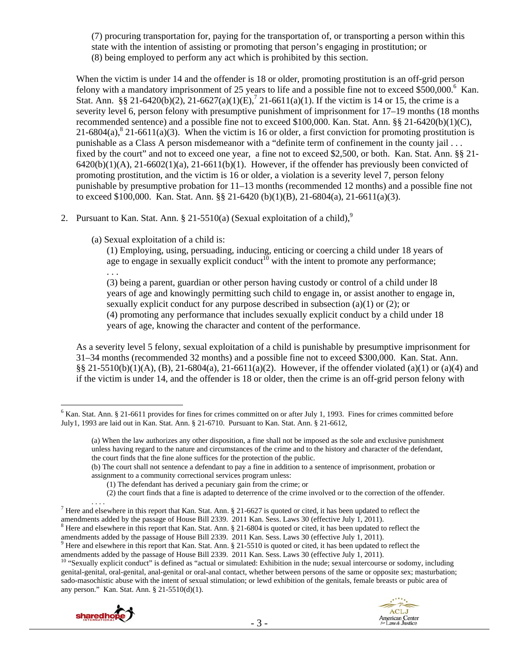(7) procuring transportation for, paying for the transportation of, or transporting a person within this state with the intention of assisting or promoting that person's engaging in prostitution; or (8) being employed to perform any act which is prohibited by this section.

When the victim is under 14 and the offender is 18 or older, promoting prostitution is an off-grid person felony with a mandatory imprisonment of 25 years to life and a possible fine not to exceed \$500,000.<sup>6</sup> Kan. Stat. Ann. §§ 21-6420(b)(2), 21-6627(a)(1)(E),<sup>7</sup> 21-6611(a)(1). If the victim is 14 or 15, the crime is a severity level 6, person felony with presumptive punishment of imprisonment for 17–19 months (18 months recommended sentence) and a possible fine not to exceed \$100,000. Kan. Stat. Ann. §§ 21-6420(b)(1)(C), 21-6804(a),  $8\overline{21}$ -6611(a)(3). When the victim is 16 or older, a first conviction for promoting prostitution is punishable as a Class A person misdemeanor with a "definite term of confinement in the county jail . . . fixed by the court" and not to exceed one year, a fine not to exceed \$2,500, or both. Kan. Stat. Ann. §§ 21-  $6420(b)(1)(A)$ ,  $21-6602(1)(a)$ ,  $21-6611(b)(1)$ . However, if the offender has previously been convicted of promoting prostitution, and the victim is 16 or older, a violation is a severity level 7, person felony punishable by presumptive probation for 11–13 months (recommended 12 months) and a possible fine not to exceed \$100,000. Kan. Stat. Ann. §§ 21-6420 (b)(1)(B), 21-6804(a), 21-6611(a)(3).

- 2. Pursuant to Kan. Stat. Ann.  $\S 21-5510(a)$  (Sexual exploitation of a child),<sup>9</sup>
	- (a) Sexual exploitation of a child is:

(1) Employing, using, persuading, inducing, enticing or coercing a child under 18 years of age to engage in sexually explicit conduct<sup>10</sup> with the intent to promote any performance; . . .

(3) being a parent, guardian or other person having custody or control of a child under l8 years of age and knowingly permitting such child to engage in, or assist another to engage in, sexually explicit conduct for any purpose described in subsection (a)(1) or (2); or (4) promoting any performance that includes sexually explicit conduct by a child under 18 years of age, knowing the character and content of the performance.

As a severity level 5 felony, sexual exploitation of a child is punishable by presumptive imprisonment for 31–34 months (recommended 32 months) and a possible fine not to exceed \$300,000. Kan. Stat. Ann. §§ 21-5510(b)(1)(A), (B), 21-6804(a), 21-6611(a)(2). However, if the offender violated (a)(1) or (a)(4) and if the victim is under 14, and the offender is 18 or older, then the crime is an off-grid person felony with

(b) The court shall not sentence a defendant to pay a fine in addition to a sentence of imprisonment, probation or assignment to a community correctional services program unless:

 $8$  Here and elsewhere in this report that Kan. Stat. Ann. § 21-6804 is quoted or cited, it has been updated to reflect the

amendments added by the passage of House Bill 2339. 2011 Kan. Sess. Laws 30 (effective July 1, 2011).<br><sup>10</sup> "Sexually explicit conduct" is defined as "actual or simulated: Exhibition in the nude; sexual intercourse or sodom

genital-genital, oral-genital, anal-genital or oral-anal contact, whether between persons of the same or opposite sex; masturbation; sado-masochistic abuse with the intent of sexual stimulation; or lewd exhibition of the genitals, female breasts or pubic area of any person." Kan. Stat. Ann. § 21-5510(d)(1).



 $\overline{a}$  $6$  Kan. Stat. Ann. § 21-6611 provides for fines for crimes committed on or after July 1, 1993. Fines for crimes committed before July1, 1993 are laid out in Kan. Stat. Ann. § 21-6710. Pursuant to Kan. Stat. Ann. § 21-6612,

<sup>(</sup>a) When the law authorizes any other disposition, a fine shall not be imposed as the sole and exclusive punishment unless having regard to the nature and circumstances of the crime and to the history and character of the defendant, the court finds that the fine alone suffices for the protection of the public.

<sup>(1)</sup> The defendant has derived a pecuniary gain from the crime; or

<sup>(2)</sup> the court finds that a fine is adapted to deterrence of the crime involved or to the correction of the offender.

There and elsewhere in this report that Kan. Stat. Ann. § 21-6627 is quoted or cited, it has been updated to reflect the <sup>7</sup> amendments added by the passage of House Bill 2339. 2011 Kan. Sess. Laws 30 (effective July 1, 2011).

amendments added by the passage of House Bill 2339. 2011 Kan. Sess. Laws 30 (effective July 1, 2011).

 $9$  Here and elsewhere in this report that Kan. Stat. Ann. § 21-5510 is quoted or cited, it has been updated to reflect the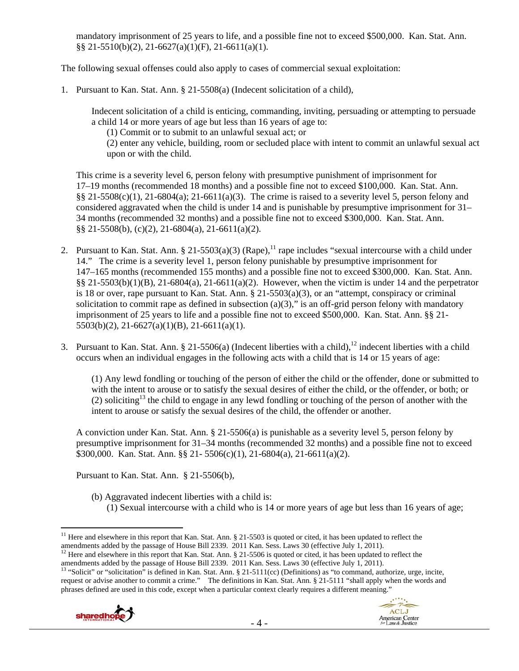mandatory imprisonment of 25 years to life, and a possible fine not to exceed \$500,000. Kan. Stat. Ann. §§ 21-5510(b)(2), 21-6627(a)(1)(F), 21-6611(a)(1).

The following sexual offenses could also apply to cases of commercial sexual exploitation:

1. Pursuant to Kan. Stat. Ann. § 21-5508(a) (Indecent solicitation of a child),

Indecent solicitation of a child is enticing, commanding, inviting, persuading or attempting to persuade a child 14 or more years of age but less than 16 years of age to:

(1) Commit or to submit to an unlawful sexual act; or

(2) enter any vehicle, building, room or secluded place with intent to commit an unlawful sexual act upon or with the child.

This crime is a severity level 6, person felony with presumptive punishment of imprisonment for 17–19 months (recommended 18 months) and a possible fine not to exceed \$100,000. Kan. Stat. Ann.  $\S$ § 21-5508(c)(1), 21-6804(a); 21-6611(a)(3). The crime is raised to a severity level 5, person felony and considered aggravated when the child is under 14 and is punishable by presumptive imprisonment for 31– 34 months (recommended 32 months) and a possible fine not to exceed \$300,000. Kan. Stat. Ann. §§ 21-5508(b), (c)(2), 21-6804(a), 21-6611(a)(2).

- 2. Pursuant to Kan. Stat. Ann. § 21-5503(a)(3) (Rape),<sup>11</sup> rape includes "sexual intercourse with a child under 14." The crime is a severity level 1, person felony punishable by presumptive imprisonment for 147–165 months (recommended 155 months) and a possible fine not to exceed \$300,000. Kan. Stat. Ann.  $\S$ § 21-5503(b)(1)(B), 21-6804(a), 21-6611(a)(2). However, when the victim is under 14 and the perpetrator is 18 or over, rape pursuant to Kan. Stat. Ann.  $\S 21-5503(a)(3)$ , or an "attempt, conspiracy or criminal solicitation to commit rape as defined in subsection (a)(3)," is an off-grid person felony with mandatory imprisonment of 25 years to life and a possible fine not to exceed \$500,000. Kan. Stat. Ann. §§ 21- 5503(b)(2), 21-6627(a)(1)(B), 21-6611(a)(1).
- 3. Pursuant to Kan. Stat. Ann.  $\S 21-5506(a)$  (Indecent liberties with a child),<sup>12</sup> indecent liberties with a child occurs when an individual engages in the following acts with a child that is 14 or 15 years of age:

(1) Any lewd fondling or touching of the person of either the child or the offender, done or submitted to with the intent to arouse or to satisfy the sexual desires of either the child, or the offender, or both; or (2) soliciting<sup>13</sup> the child to engage in any lewd fondling or touching of the person of another with the intent to arouse or satisfy the sexual desires of the child, the offender or another.

A conviction under Kan. Stat. Ann. § 21-5506(a) is punishable as a severity level 5, person felony by presumptive imprisonment for 31–34 months (recommended 32 months) and a possible fine not to exceed \$300,000. Kan. Stat. Ann. §§ 21- 5506(c)(1), 21-6804(a), 21-6611(a)(2).

Pursuant to Kan. Stat. Ann. § 21-5506(b),

- (b) Aggravated indecent liberties with a child is:
	- (1) Sexual intercourse with a child who is 14 or more years of age but less than 16 years of age;

<sup>&</sup>lt;sup>13</sup> "Solicit" or "solicitation" is defined in Kan. Stat. Ann. § 21-5111(cc) (Definitions) as "to command, authorize, urge, incite, request or advise another to commit a crime." The definitions in Kan. Stat. Ann. § 21-5111 "shall apply when the words and phrases defined are used in this code, except when a particular context clearly requires a different meaning."





 $\overline{a}$ <sup>11</sup> Here and elsewhere in this report that Kan. Stat. Ann. § 21-5503 is quoted or cited, it has been updated to reflect the amendments added by the passage of House Bill 2339. 2011 Kan. Sess. Laws 30 (effective July 1, 2

<sup>&</sup>lt;sup>12</sup> Here and elsewhere in this report that Kan. Stat. Ann. § 21-5506 is quoted or cited, it has been updated to reflect the amendments added by the passage of House Bill 2339. 2011 Kan. Sess. Laws 30 (effective July 1, 2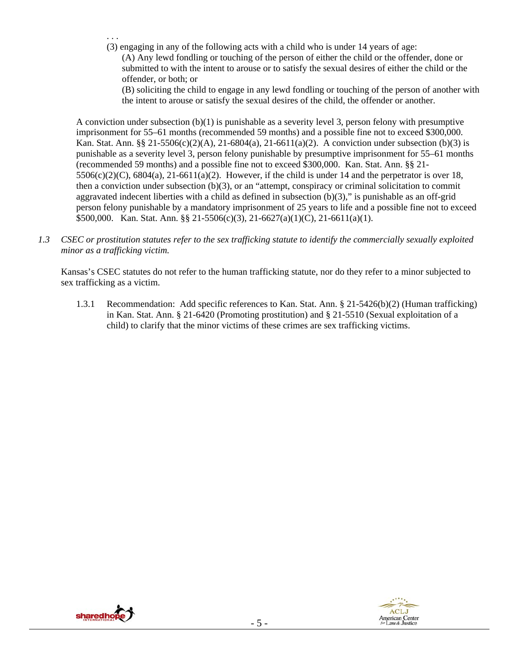- . . . (3) engaging in any of the following acts with a child who is under 14 years of age:
	- (A) Any lewd fondling or touching of the person of either the child or the offender, done or submitted to with the intent to arouse or to satisfy the sexual desires of either the child or the offender, or both; or
		- (B) soliciting the child to engage in any lewd fondling or touching of the person of another with the intent to arouse or satisfy the sexual desires of the child, the offender or another.

A conviction under subsection (b)(1) is punishable as a severity level 3, person felony with presumptive imprisonment for 55–61 months (recommended 59 months) and a possible fine not to exceed \$300,000. Kan. Stat. Ann. §§ 21-5506(c)(2)(A), 21-6804(a), 21-6611(a)(2). A conviction under subsection (b)(3) is punishable as a severity level 3, person felony punishable by presumptive imprisonment for 55–61 months (recommended 59 months) and a possible fine not to exceed \$300,000. Kan. Stat. Ann. §§ 21-  $5506(c)(2)(C)$ ,  $6804(a)$ ,  $21-6611(a)(2)$ . However, if the child is under 14 and the perpetrator is over 18, then a conviction under subsection (b)(3), or an "attempt, conspiracy or criminal solicitation to commit aggravated indecent liberties with a child as defined in subsection  $(b)(3)$ ," is punishable as an off-grid person felony punishable by a mandatory imprisonment of 25 years to life and a possible fine not to exceed \$500,000. Kan. Stat. Ann. §§ 21-5506(c)(3), 21-6627(a)(1)(C), 21-6611(a)(1).

*1.3 CSEC or prostitution statutes refer to the sex trafficking statute to identify the commercially sexually exploited minor as a trafficking victim.* 

Kansas's CSEC statutes do not refer to the human trafficking statute, nor do they refer to a minor subjected to sex trafficking as a victim.

1.3.1 Recommendation: Add specific references to Kan. Stat. Ann. § 21-5426(b)(2) (Human trafficking) in Kan. Stat. Ann. § 21-6420 (Promoting prostitution) and § 21-5510 (Sexual exploitation of a child) to clarify that the minor victims of these crimes are sex trafficking victims.



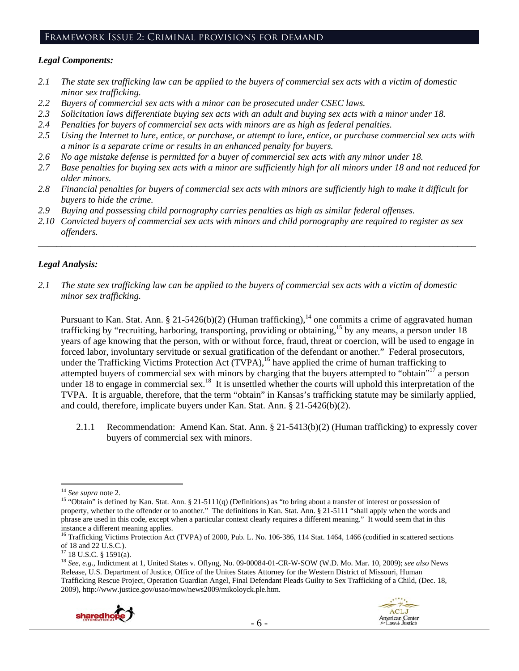# Framework Issue 2: Criminal provisions for demand

#### *Legal Components:*

- *2.1 The state sex trafficking law can be applied to the buyers of commercial sex acts with a victim of domestic minor sex trafficking.*
- *2.2 Buyers of commercial sex acts with a minor can be prosecuted under CSEC laws.*
- *2.3 Solicitation laws differentiate buying sex acts with an adult and buying sex acts with a minor under 18.*
- *2.4 Penalties for buyers of commercial sex acts with minors are as high as federal penalties.*
- *2.5 Using the Internet to lure, entice, or purchase, or attempt to lure, entice, or purchase commercial sex acts with a minor is a separate crime or results in an enhanced penalty for buyers.*
- *2.6 No age mistake defense is permitted for a buyer of commercial sex acts with any minor under 18.*
- *2.7 Base penalties for buying sex acts with a minor are sufficiently high for all minors under 18 and not reduced for older minors.*
- *2.8 Financial penalties for buyers of commercial sex acts with minors are sufficiently high to make it difficult for buyers to hide the crime.*
- *2.9 Buying and possessing child pornography carries penalties as high as similar federal offenses.*
- *2.10 Convicted buyers of commercial sex acts with minors and child pornography are required to register as sex offenders.*

\_\_\_\_\_\_\_\_\_\_\_\_\_\_\_\_\_\_\_\_\_\_\_\_\_\_\_\_\_\_\_\_\_\_\_\_\_\_\_\_\_\_\_\_\_\_\_\_\_\_\_\_\_\_\_\_\_\_\_\_\_\_\_\_\_\_\_\_\_\_\_\_\_\_\_\_\_\_\_\_\_\_\_\_\_\_\_\_\_\_\_\_\_\_

## *Legal Analysis:*

*2.1 The state sex trafficking law can be applied to the buyers of commercial sex acts with a victim of domestic minor sex trafficking.* 

Pursuant to Kan. Stat. Ann. § 21-5426(b)(2) (Human trafficking),  $14$  one commits a crime of aggravated human trafficking by "recruiting, harboring, transporting, providing or obtaining,<sup>15</sup> by any means, a person under 18 years of age knowing that the person, with or without force, fraud, threat or coercion, will be used to engage in forced labor, involuntary servitude or sexual gratification of the defendant or another." Federal prosecutors, under the Trafficking Victims Protection Act (TVPA),<sup>16</sup> have applied the crime of human trafficking to attempted buyers of commercial sex with minors by charging that the buyers attempted to "obtain"<sup>17</sup> a person under 18 to engage in commercial sex.<sup>18</sup> It is unsettled whether the courts will uphold this interpretation of the TVPA. It is arguable, therefore, that the term "obtain" in Kansas's trafficking statute may be similarly applied, and could, therefore, implicate buyers under Kan. Stat. Ann. § 21-5426(b)(2).

2.1.1 Recommendation: Amend Kan. Stat. Ann. § 21-5413(b)(2) (Human trafficking) to expressly cover buyers of commercial sex with minors.

<sup>18</sup> *See, e.g*., Indictment at 1, United States v. Oflyng, No. 09-00084-01-CR-W-SOW (W.D. Mo. Mar. 10, 2009); *see also* News Release, U.S. Department of Justice, Office of the Unites States Attorney for the Western District of Missouri, Human Trafficking Rescue Project, Operation Guardian Angel, Final Defendant Pleads Guilty to Sex Trafficking of a Child, (Dec. 18, 2009), http://www.justice.gov/usao/mow/news2009/mikoloyck.ple.htm.



 $\overline{a}$ 

<sup>&</sup>lt;sup>14</sup> See supra note 2.<br><sup>15</sup> "Obtain" is defined by Kan. Stat. Ann. § 21-5111(q) (Definitions) as "to bring about a transfer of interest or possession of property, whether to the offender or to another." The definitions in Kan. Stat. Ann. § 21-5111 "shall apply when the words and phrase are used in this code, except when a particular context clearly requires a different meaning." It would seem that in this instance a different meaning applies.

<sup>&</sup>lt;sup>16</sup> Trafficking Victims Protection Act (TVPA) of 2000, Pub. L. No. 106-386, 114 Stat. 1464, 1466 (codified in scattered sections of 18 and 22 U.S.C.).

<sup>17 18</sup> U.S.C. § 1591(a).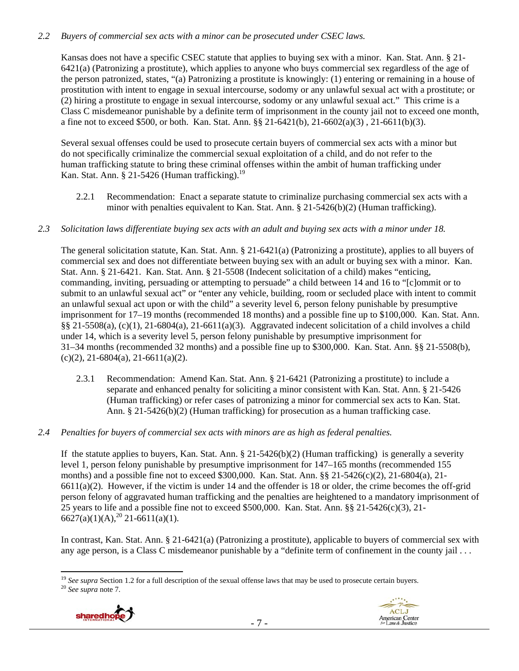# *2.2 Buyers of commercial sex acts with a minor can be prosecuted under CSEC laws.*

Kansas does not have a specific CSEC statute that applies to buying sex with a minor. Kan. Stat. Ann. § 21- 6421(a) (Patronizing a prostitute), which applies to anyone who buys commercial sex regardless of the age of the person patronized, states, "(a) Patronizing a prostitute is knowingly: (1) entering or remaining in a house of prostitution with intent to engage in sexual intercourse, sodomy or any unlawful sexual act with a prostitute; or (2) hiring a prostitute to engage in sexual intercourse, sodomy or any unlawful sexual act." This crime is a Class C misdemeanor punishable by a definite term of imprisonment in the county jail not to exceed one month, a fine not to exceed \$500, or both. Kan. Stat. Ann. §§ 21-6421(b), 21-6602(a)(3) , 21-6611(b)(3).

Several sexual offenses could be used to prosecute certain buyers of commercial sex acts with a minor but do not specifically criminalize the commercial sexual exploitation of a child, and do not refer to the human trafficking statute to bring these criminal offenses within the ambit of human trafficking under Kan. Stat. Ann. § 21-5426 (Human trafficking). $^{19}$ 

- 2.2.1 Recommendation: Enact a separate statute to criminalize purchasing commercial sex acts with a minor with penalties equivalent to Kan. Stat. Ann. § 21-5426(b)(2) (Human trafficking).
- *2.3 Solicitation laws differentiate buying sex acts with an adult and buying sex acts with a minor under 18.*

The general solicitation statute, Kan. Stat. Ann. § 21-6421(a) (Patronizing a prostitute), applies to all buyers of commercial sex and does not differentiate between buying sex with an adult or buying sex with a minor. Kan. Stat. Ann. § 21-6421. Kan. Stat. Ann. § 21-5508 (Indecent solicitation of a child) makes "enticing, commanding, inviting, persuading or attempting to persuade" a child between 14 and 16 to "[c]ommit or to submit to an unlawful sexual act" or "enter any vehicle, building, room or secluded place with intent to commit an unlawful sexual act upon or with the child" a severity level 6, person felony punishable by presumptive imprisonment for 17–19 months (recommended 18 months) and a possible fine up to \$100,000. Kan. Stat. Ann. §§ 21-5508(a), (c)(1), 21-6804(a), 21-6611(a)(3). Aggravated indecent solicitation of a child involves a child under 14, which is a severity level 5, person felony punishable by presumptive imprisonment for 31–34 months (recommended 32 months) and a possible fine up to \$300,000. Kan. Stat. Ann. §§ 21-5508(b),  $(c)(2)$ , 21-6804(a), 21-6611(a)(2).

- 2.3.1 Recommendation: Amend Kan. Stat. Ann. § 21-6421 (Patronizing a prostitute) to include a separate and enhanced penalty for soliciting a minor consistent with Kan. Stat. Ann. § 21-5426 (Human trafficking) or refer cases of patronizing a minor for commercial sex acts to Kan. Stat. Ann. § 21-5426(b)(2) (Human trafficking) for prosecution as a human trafficking case.
- *2.4 Penalties for buyers of commercial sex acts with minors are as high as federal penalties.*

If the statute applies to buyers, Kan. Stat. Ann.  $\S 21-5426(b)(2)$  (Human trafficking) is generally a severity level 1, person felony punishable by presumptive imprisonment for 147–165 months (recommended 155 months) and a possible fine not to exceed \$300,000. Kan. Stat. Ann. §§ 21-5426(c)(2), 21-6804(a), 21-  $6611(a)(2)$ . However, if the victim is under 14 and the offender is 18 or older, the crime becomes the off-grid person felony of aggravated human trafficking and the penalties are heightened to a mandatory imprisonment of 25 years to life and a possible fine not to exceed \$500,000. Kan. Stat. Ann. §§ 21-5426(c)(3), 21-  $6627(a)(1)(A)$ ,<sup>20</sup> 21-6611(a)(1).

In contrast, Kan. Stat. Ann. § 21-6421(a) (Patronizing a prostitute), applicable to buyers of commercial sex with any age person, is a Class C misdemeanor punishable by a "definite term of confinement in the county jail . . .

 $\overline{a}$ <sup>19</sup> *See supra* Section 1.2 for a full description of the sexual offense laws that may be used to prosecute certain buyers. 20 *See supra* note 7.



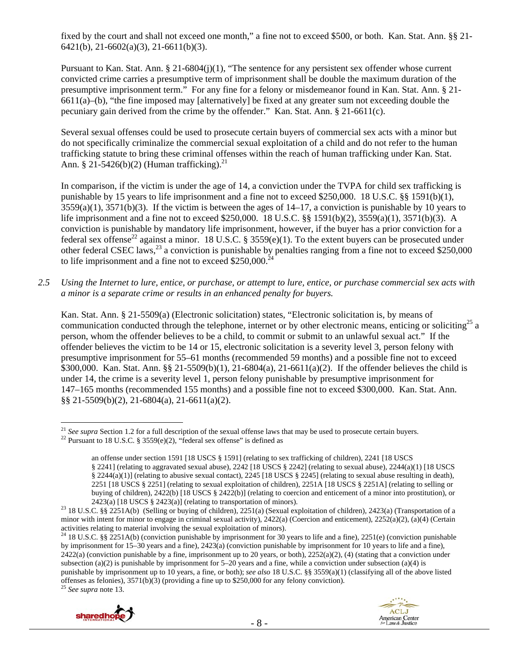fixed by the court and shall not exceed one month," a fine not to exceed \$500, or both. Kan. Stat. Ann. §§ 21- 6421(b), 21-6602(a)(3), 21-6611(b)(3).

Pursuant to Kan. Stat. Ann. § 21-6804(j)(1), "The sentence for any persistent sex offender whose current convicted crime carries a presumptive term of imprisonment shall be double the maximum duration of the presumptive imprisonment term." For any fine for a felony or misdemeanor found in Kan. Stat. Ann. § 21- 6611(a)–(b), "the fine imposed may [alternatively] be fixed at any greater sum not exceeding double the pecuniary gain derived from the crime by the offender." Kan. Stat. Ann. § 21-6611(c).

Several sexual offenses could be used to prosecute certain buyers of commercial sex acts with a minor but do not specifically criminalize the commercial sexual exploitation of a child and do not refer to the human trafficking statute to bring these criminal offenses within the reach of human trafficking under Kan. Stat. Ann. § 21-5426(b)(2) (Human trafficking).<sup>21</sup>

In comparison, if the victim is under the age of 14, a conviction under the TVPA for child sex trafficking is punishable by 15 years to life imprisonment and a fine not to exceed \$250,000. 18 U.S.C. §§ 1591(b)(1),  $3559(a)(1)$ ,  $3571(b)(3)$ . If the victim is between the ages of  $14-17$ , a conviction is punishable by 10 years to life imprisonment and a fine not to exceed \$250,000. 18 U.S.C. §§ 1591(b)(2), 3559(a)(1), 3571(b)(3). A conviction is punishable by mandatory life imprisonment, however, if the buyer has a prior conviction for a federal sex of tense<sup>22</sup> against a minor. 18 U.S.C. § 3559(e)(1). To the extent buyers can be prosecuted under other federal CSEC laws,<sup>23</sup> a conviction is punishable by penalties ranging from a fine not to exceed \$250,000 to life imprisonment and a fine not to exceed  $$250,000.<sup>2</sup>$ 

*2.5 Using the Internet to lure, entice, or purchase, or attempt to lure, entice, or purchase commercial sex acts with a minor is a separate crime or results in an enhanced penalty for buyers.* 

Kan. Stat. Ann. § 21-5509(a) (Electronic solicitation) states, "Electronic solicitation is, by means of communication conducted through the telephone, internet or by other electronic means, enticing or soliciting<sup>25</sup> a person, whom the offender believes to be a child, to commit or submit to an unlawful sexual act." If the offender believes the victim to be 14 or 15, electronic solicitation is a severity level 3, person felony with presumptive imprisonment for 55–61 months (recommended 59 months) and a possible fine not to exceed \$300,000. Kan. Stat. Ann. §§ 21-5509(b)(1), 21-6804(a), 21-6611(a)(2). If the offender believes the child is under 14, the crime is a severity level 1, person felony punishable by presumptive imprisonment for 147–165 months (recommended 155 months) and a possible fine not to exceed \$300,000. Kan. Stat. Ann. §§ 21-5509(b)(2), 21-6804(a), 21-6611(a)(2).

 $\overline{a}$ 





<sup>&</sup>lt;sup>21</sup> *See supra* Section 1.2 for a full description of the sexual offense laws that may be used to prosecute certain buyers. <sup>22</sup> Pursuant to 18 U.S.C. § 3559(e)(2), "federal sex offense" is defined as

an offense under section 1591 [18 USCS § 1591] (relating to sex trafficking of children), 2241 [18 USCS § 2241] (relating to aggravated sexual abuse), 2242 [18 USCS § 2242] (relating to sexual abuse), 2244(a)(1) [18 USCS § 2244(a)(1)] (relating to abusive sexual contact), 2245 [18 USCS § 2245] (relating to sexual abuse resulting in death), 2251 [18 USCS § 2251] (relating to sexual exploitation of children), 2251A [18 USCS § 2251A] (relating to selling or buying of children), 2422(b) [18 USCS § 2422(b)] (relating to coercion and enticement of a minor into prostitution), or

<sup>2423(</sup>a) [18 USCS § 2423(a)] (relating to transportation of minors). 23 18 U.S.C. §§ 2251A(b) (Selling or buying of children), 2251(a) (Sexual exploitation of children), 2423(a) (Transportation of a minor with intent for minor to engage in criminal sexual activity), 2422(a) (Coercion and enticement), 2252(a)(2), (a)(4) (Certain activities relating to material involving the sexual exploitation of minors).

<sup>&</sup>lt;sup>24</sup> 18 U.S.C. §§ 2251A(b) (conviction punishable by imprisonment for 30 years to life and a fine), 2251(e) (conviction punishable by imprisonment for 15–30 years and a fine), 2423(a) (conviction punishable by imprisonment for 10 years to life and a fine),  $2422(a)$  (conviction punishable by a fine, imprisonment up to 20 years, or both),  $2252(a)(2)$ , (4) (stating that a conviction under subsection (a)(2) is punishable by imprisonment for  $5-20$  years and a fine, while a conviction under subsection (a)(4) is punishable by imprisonment up to 10 years, a fine, or both); *see also* 18 U.S.C. §§ 3559(a)(1) (classifying all of the above listed offenses as felonies), 3571(b)(3) (providing a fine up to \$250,000 for any felony conviction). 25 *See supra* note 13.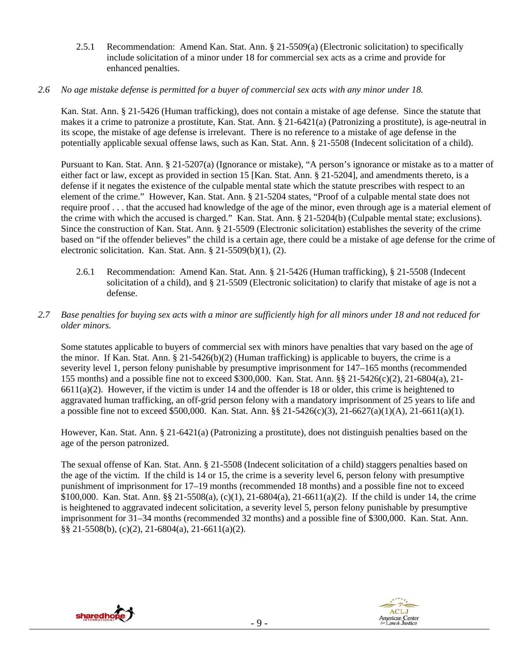2.5.1 Recommendation: Amend Kan. Stat. Ann. § 21-5509(a) (Electronic solicitation) to specifically include solicitation of a minor under 18 for commercial sex acts as a crime and provide for enhanced penalties.

## *2.6 No age mistake defense is permitted for a buyer of commercial sex acts with any minor under 18.*

Kan. Stat. Ann. § 21-5426 (Human trafficking), does not contain a mistake of age defense. Since the statute that makes it a crime to patronize a prostitute, Kan. Stat. Ann. § 21-6421(a) (Patronizing a prostitute), is age-neutral in its scope, the mistake of age defense is irrelevant. There is no reference to a mistake of age defense in the potentially applicable sexual offense laws, such as Kan. Stat. Ann. § 21-5508 (Indecent solicitation of a child).

Pursuant to Kan. Stat. Ann. § 21-5207(a) (Ignorance or mistake), "A person's ignorance or mistake as to a matter of either fact or law, except as provided in section 15 [Kan. Stat. Ann. § 21-5204], and amendments thereto, is a defense if it negates the existence of the culpable mental state which the statute prescribes with respect to an element of the crime." However, Kan. Stat. Ann. § 21-5204 states, "Proof of a culpable mental state does not require proof . . . that the accused had knowledge of the age of the minor, even through age is a material element of the crime with which the accused is charged." Kan. Stat. Ann. § 21-5204(b) (Culpable mental state; exclusions). Since the construction of Kan. Stat. Ann. § 21-5509 (Electronic solicitation) establishes the severity of the crime based on "if the offender believes" the child is a certain age, there could be a mistake of age defense for the crime of electronic solicitation. Kan. Stat. Ann. § 21-5509(b)(1), (2).

- 2.6.1 Recommendation: Amend Kan. Stat. Ann. § 21-5426 (Human trafficking), § 21-5508 (Indecent solicitation of a child), and § 21-5509 (Electronic solicitation) to clarify that mistake of age is not a defense.
- *2.7 Base penalties for buying sex acts with a minor are sufficiently high for all minors under 18 and not reduced for older minors.*

Some statutes applicable to buyers of commercial sex with minors have penalties that vary based on the age of the minor. If Kan. Stat. Ann.  $\S 21-5426(b)(2)$  (Human trafficking) is applicable to buyers, the crime is a severity level 1, person felony punishable by presumptive imprisonment for 147–165 months (recommended 155 months) and a possible fine not to exceed \$300,000. Kan. Stat. Ann. §§ 21-5426(c)(2), 21-6804(a), 21-  $6611(a)(2)$ . However, if the victim is under 14 and the offender is 18 or older, this crime is heightened to aggravated human trafficking, an off-grid person felony with a mandatory imprisonment of 25 years to life and a possible fine not to exceed \$500,000. Kan. Stat. Ann. §§ 21-5426(c)(3), 21-6627(a)(1)(A), 21-6611(a)(1).

However, Kan. Stat. Ann. § 21-6421(a) (Patronizing a prostitute), does not distinguish penalties based on the age of the person patronized.

The sexual offense of Kan. Stat. Ann. § 21-5508 (Indecent solicitation of a child) staggers penalties based on the age of the victim. If the child is 14 or 15, the crime is a severity level 6, person felony with presumptive punishment of imprisonment for 17–19 months (recommended 18 months) and a possible fine not to exceed \$100,000. Kan. Stat. Ann. §§ 21-5508(a), (c)(1), 21-6804(a), 21-6611(a)(2). If the child is under 14, the crime is heightened to aggravated indecent solicitation, a severity level 5, person felony punishable by presumptive imprisonment for 31–34 months (recommended 32 months) and a possible fine of \$300,000. Kan. Stat. Ann. §§ 21-5508(b), (c)(2), 21-6804(a), 21-6611(a)(2).



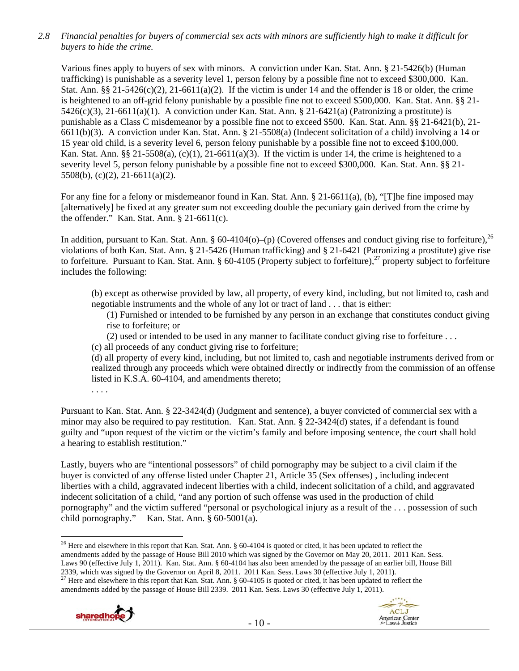*2.8 Financial penalties for buyers of commercial sex acts with minors are sufficiently high to make it difficult for buyers to hide the crime.* 

Various fines apply to buyers of sex with minors. A conviction under Kan. Stat. Ann. § 21-5426(b) (Human trafficking) is punishable as a severity level 1, person felony by a possible fine not to exceed \$300,000. Kan. Stat. Ann.  $88\frac{21-5426(c)(2)}{21-6611(a)(2)}$ . If the victim is under 14 and the offender is 18 or older, the crime is heightened to an off-grid felony punishable by a possible fine not to exceed \$500,000. Kan. Stat. Ann. §§ 21-  $5426(c)(3)$ ,  $21-6611(a)(1)$ . A conviction under Kan. Stat. Ann. § 21-6421(a) (Patronizing a prostitute) is punishable as a Class C misdemeanor by a possible fine not to exceed \$500. Kan. Stat. Ann. §§ 21-6421(b), 21- 6611(b)(3). A conviction under Kan. Stat. Ann. § 21-5508(a) (Indecent solicitation of a child) involving a 14 or 15 year old child, is a severity level 6, person felony punishable by a possible fine not to exceed \$100,000. Kan. Stat. Ann. §§ 21-5508(a),  $(c)(1)$ , 21-6611(a)(3). If the victim is under 14, the crime is heightened to a severity level 5, person felony punishable by a possible fine not to exceed \$300,000. Kan. Stat. Ann. §§ 21- 5508(b), (c)(2), 21-6611(a)(2).

For any fine for a felony or misdemeanor found in Kan. Stat. Ann. § 21-6611(a), (b), "[T]he fine imposed may [alternatively] be fixed at any greater sum not exceeding double the pecuniary gain derived from the crime by the offender." Kan. Stat. Ann. § 21-6611(c).

In addition, pursuant to Kan. Stat. Ann. § 60-4104(o)–(p) (Covered offenses and conduct giving rise to forfeiture),<sup>26</sup> violations of both Kan. Stat. Ann. § 21-5426 (Human trafficking) and § 21-6421 (Patronizing a prostitute) give rise to forfeiture. Pursuant to Kan. Stat. Ann. § 60-4105 (Property subject to forfeiture), $^{27}$  property subject to forfeiture includes the following:

(b) except as otherwise provided by law, all property, of every kind, including, but not limited to, cash and negotiable instruments and the whole of any lot or tract of land . . . that is either:

(1) Furnished or intended to be furnished by any person in an exchange that constitutes conduct giving rise to forfeiture; or

(2) used or intended to be used in any manner to facilitate conduct giving rise to forfeiture . . .

(c) all proceeds of any conduct giving rise to forfeiture;

(d) all property of every kind, including, but not limited to, cash and negotiable instruments derived from or realized through any proceeds which were obtained directly or indirectly from the commission of an offense listed in K.S.A. 60-4104, and amendments thereto;

. . . .

Pursuant to Kan. Stat. Ann. § 22-3424(d) (Judgment and sentence), a buyer convicted of commercial sex with a minor may also be required to pay restitution. Kan. Stat. Ann. § 22-3424(d) states, if a defendant is found guilty and "upon request of the victim or the victim's family and before imposing sentence, the court shall hold a hearing to establish restitution."

Lastly, buyers who are "intentional possessors" of child pornography may be subject to a civil claim if the buyer is convicted of any offense listed under Chapter 21, Article 35 (Sex offenses) , including indecent liberties with a child, aggravated indecent liberties with a child, indecent solicitation of a child, and aggravated indecent solicitation of a child, "and any portion of such offense was used in the production of child pornography" and the victim suffered "personal or psychological injury as a result of the . . . possession of such child pornography." Kan. Stat. Ann. § 60-5001(a).

<sup>&</sup>lt;sup>27</sup> Here and elsewhere in this report that Kan. Stat. Ann. § 60-4105 is quoted or cited, it has been updated to reflect the amendments added by the passage of House Bill 2339. 2011 Kan. Sess. Laws 30 (effective July 1, 2011).





 $\overline{a}$ <sup>26</sup> Here and elsewhere in this report that Kan. Stat. Ann. § 60-4104 is quoted or cited, it has been updated to reflect the amendments added by the passage of House Bill 2010 which was signed by the Governor on May 20, 2011. 2011 Kan. Sess. Laws 90 (effective July 1, 2011). Kan. Stat. Ann. § 60-4104 has also been amended by the passage of an earlier bill, House Bill 2339, which was signed by the Governor on April 8, 2011. 2011 Kan. Sess. Laws 30 (effective Ju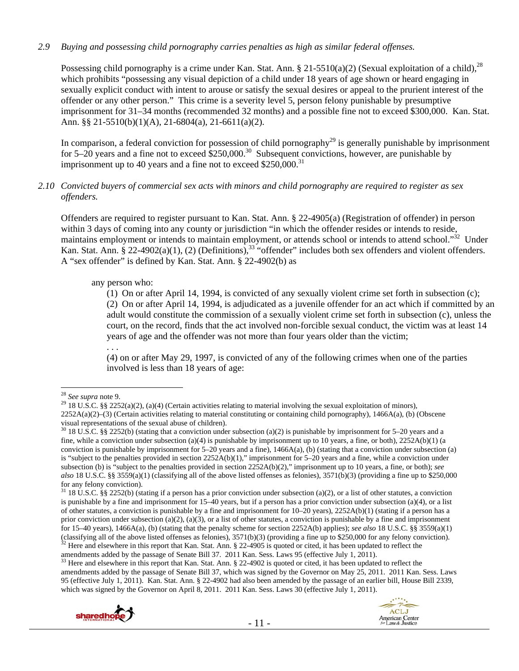# *2.9 Buying and possessing child pornography carries penalties as high as similar federal offenses.*

Possessing child pornography is a crime under Kan. Stat. Ann. § 21-5510(a)(2) (Sexual exploitation of a child),<sup>28</sup> which prohibits "possessing any visual depiction of a child under 18 years of age shown or heard engaging in sexually explicit conduct with intent to arouse or satisfy the sexual desires or appeal to the prurient interest of the offender or any other person." This crime is a severity level 5, person felony punishable by presumptive imprisonment for 31–34 months (recommended 32 months) and a possible fine not to exceed \$300,000. Kan. Stat. Ann. §§ 21-5510(b)(1)(A), 21-6804(a), 21-6611(a)(2).

In comparison, a federal conviction for possession of child pornography<sup>29</sup> is generally punishable by imprisonment for 5–20 years and a fine not to exceed  $$250,000.<sup>30</sup>$  Subsequent convictions, however, are punishable by imprisonment up to 40 years and a fine not to exceed  $$250,000$ <sup>31</sup>

## *2.10 Convicted buyers of commercial sex acts with minors and child pornography are required to register as sex offenders.*

Offenders are required to register pursuant to Kan. Stat. Ann. § 22-4905(a) (Registration of offender) in person within 3 days of coming into any county or jurisdiction "in which the offender resides or intends to reside, maintains employment or intends to maintain employment, or attends school or intends to attend school."<sup>32</sup> Under Kan. Stat. Ann. § 22-4902(a)(1), (2) (Definitions),<sup>33</sup> "offender" includes both sex offenders and violent offenders. A "sex offender" is defined by Kan. Stat. Ann. § 22-4902(b) as

any person who:

(1) On or after April 14, 1994, is convicted of any sexually violent crime set forth in subsection (c); (2) On or after April 14, 1994, is adjudicated as a juvenile offender for an act which if committed by an adult would constitute the commission of a sexually violent crime set forth in subsection (c), unless the court, on the record, finds that the act involved non-forcible sexual conduct, the victim was at least 14 years of age and the offender was not more than four years older than the victim;

. . . (4) on or after May 29, 1997, is convicted of any of the following crimes when one of the parties involved is less than 18 years of age:

 $33$  Here and elsewhere in this report that Kan. Stat. Ann. § 22-4902 is quoted or cited, it has been updated to reflect the amendments added by the passage of Senate Bill 37, which was signed by the Governor on May 25, 2011. 2011 Kan. Sess. Laws 95 (effective July 1, 2011). Kan. Stat. Ann. § 22-4902 had also been amended by the passage of an earlier bill, House Bill 2339, which was signed by the Governor on April 8, 2011. 2011 Kan. Sess. Laws 30 (effective July 1, 2011).





<sup>&</sup>lt;sup>28</sup> See supra note 9.

<sup>&</sup>lt;sup>29</sup> 18 U.S.C. §§ 2252(a)(2), (a)(4) (Certain activities relating to material involving the sexual exploitation of minors), 2252A(a)(2)–(3) (Certain activities relating to material constituting or containing child pornography), 1466A(a), (b) (Obscene visual representations of the sexual abuse of children).

 $30\,18$  U.S.C. §§ 2252(b) (stating that a conviction under subsection (a)(2) is punishable by imprisonment for 5–20 years and a fine, while a conviction under subsection (a)(4) is punishable by imprisonment up to 10 years, a fine, or both),  $2252A(b)(1)$  (a conviction is punishable by imprisonment for  $5-20$  years and a fine),  $1466A(a)$ , (b) (stating that a conviction under subsection (a) is "subject to the penalties provided in section  $2252A(b)(1)$ ," imprisonment for 5–20 years and a fine, while a conviction under subsection (b) is "subject to the penalties provided in section 2252A(b)(2)," imprisonment up to 10 years, a fine, or both); *see also* 18 U.S.C. §§ 3559(a)(1) (classifying all of the above listed offenses as felonies), 3571(b)(3) (providing a fine up to \$250,000 for any felony conviction).

 $31$  18 U.S.C. §§ 2252(b) (stating if a person has a prior conviction under subsection (a)(2), or a list of other statutes, a conviction is punishable by a fine and imprisonment for 15–40 years, but if a person has a prior conviction under subsection (a)(4), or a list of other statutes, a conviction is punishable by a fine and imprisonment for 10–20 years), 2252A(b)(1) (stating if a person has a prior conviction under subsection (a)(2), (a)(3), or a list of other statutes, a conviction is punishable by a fine and imprisonment for 15–40 years), 1466A(a), (b) (stating that the penalty scheme for section 2252A(b) applies); *see also* 18 U.S.C. §§ 3559(a)(1) (classifying all of the above listed offenses as felonies), 3571(b)(3) (providing a fine up to \$250,000 for any felony conviction).<br><sup>32</sup> Here and elsewhere in this report that Kan. Stat. Ann. § 22-4905 is quoted or cited,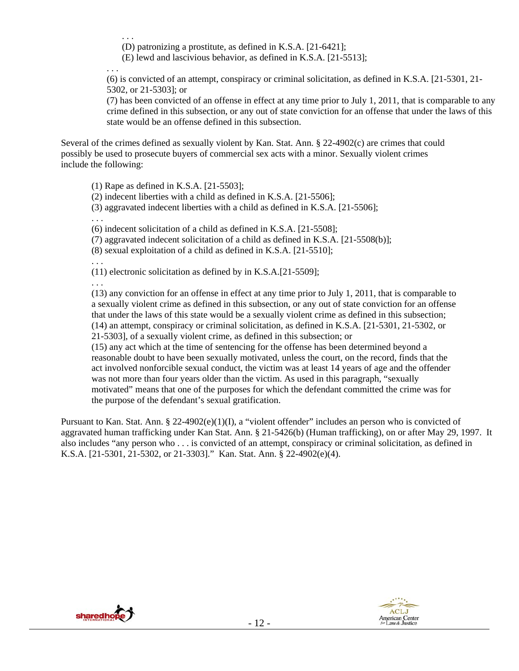. . . (D) patronizing a prostitute, as defined in K.S.A. [21-6421];

(E) lewd and lascivious behavior, as defined in K.S.A. [21-5513];

. . .

(6) is convicted of an attempt, conspiracy or criminal solicitation, as defined in K.S.A. [21-5301, 21- 5302, or 21-5303]; or

(7) has been convicted of an offense in effect at any time prior to July 1, 2011, that is comparable to any crime defined in this subsection, or any out of state conviction for an offense that under the laws of this state would be an offense defined in this subsection.

Several of the crimes defined as sexually violent by Kan. Stat. Ann. § 22-4902(c) are crimes that could possibly be used to prosecute buyers of commercial sex acts with a minor. Sexually violent crimes include the following:

(1) Rape as defined in K.S.A. [21-5503];

(2) indecent liberties with a child as defined in K.S.A. [21-5506];

(3) aggravated indecent liberties with a child as defined in K.S.A. [21-5506];

. . .

(6) indecent solicitation of a child as defined in K.S.A. [21-5508];

(7) aggravated indecent solicitation of a child as defined in K.S.A. [21-5508(b)];

(8) sexual exploitation of a child as defined in K.S.A. [21-5510];

. . .

(11) electronic solicitation as defined by in K.S.A.[21-5509];

. . .

(13) any conviction for an offense in effect at any time prior to July 1, 2011, that is comparable to a sexually violent crime as defined in this subsection, or any out of state conviction for an offense that under the laws of this state would be a sexually violent crime as defined in this subsection; (14) an attempt, conspiracy or criminal solicitation, as defined in K.S.A. [21-5301, 21-5302, or

21-5303], of a sexually violent crime, as defined in this subsection; or

(15) any act which at the time of sentencing for the offense has been determined beyond a reasonable doubt to have been sexually motivated, unless the court, on the record, finds that the act involved nonforcible sexual conduct, the victim was at least 14 years of age and the offender was not more than four years older than the victim. As used in this paragraph, "sexually motivated" means that one of the purposes for which the defendant committed the crime was for the purpose of the defendant's sexual gratification.

Pursuant to Kan. Stat. Ann. § 22-4902(e)(1)(I), a "violent offender" includes an person who is convicted of aggravated human trafficking under Kan Stat. Ann. § 21-5426(b) (Human trafficking), on or after May 29, 1997. It also includes "any person who . . . is convicted of an attempt, conspiracy or criminal solicitation, as defined in K.S.A. [21-5301, 21-5302, or 21-3303]." Kan. Stat. Ann. § 22-4902(e)(4).



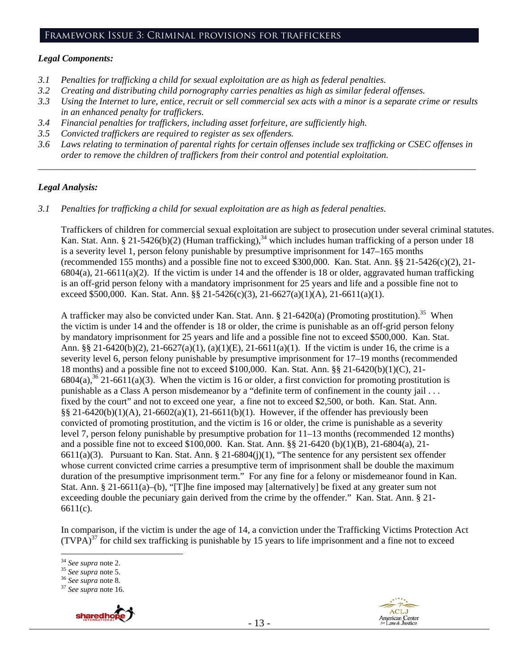## Framework Issue 3: Criminal provisions for traffickers

#### *Legal Components:*

- *3.1 Penalties for trafficking a child for sexual exploitation are as high as federal penalties.*
- *3.2 Creating and distributing child pornography carries penalties as high as similar federal offenses.*
- *3.3 Using the Internet to lure, entice, recruit or sell commercial sex acts with a minor is a separate crime or results in an enhanced penalty for traffickers.*
- *3.4 Financial penalties for traffickers, including asset forfeiture, are sufficiently high.*
- *3.5 Convicted traffickers are required to register as sex offenders.*
- *3.6 Laws relating to termination of parental rights for certain offenses include sex trafficking or CSEC offenses in order to remove the children of traffickers from their control and potential exploitation.*

*\_\_\_\_\_\_\_\_\_\_\_\_\_\_\_\_\_\_\_\_\_\_\_\_\_\_\_\_\_\_\_\_\_\_\_\_\_\_\_\_\_\_\_\_\_\_\_\_\_\_\_\_\_\_\_\_\_\_\_\_\_\_\_\_\_\_\_\_\_\_\_\_\_\_\_\_\_\_\_\_\_\_\_\_\_\_\_\_\_\_\_\_\_\_* 

# *Legal Analysis:*

*3.1 Penalties for trafficking a child for sexual exploitation are as high as federal penalties.* 

Traffickers of children for commercial sexual exploitation are subject to prosecution under several criminal statutes. Kan. Stat. Ann. § 21-5426(b)(2) (Human trafficking),<sup>34</sup> which includes human trafficking of a person under 18 is a severity level 1, person felony punishable by presumptive imprisonment for 147–165 months (recommended 155 months) and a possible fine not to exceed \$300,000. Kan. Stat. Ann.  $\S$ § 21-5426(c)(2), 21- $6804(a)$ , 21-6611(a)(2). If the victim is under 14 and the offender is 18 or older, aggravated human trafficking is an off-grid person felony with a mandatory imprisonment for 25 years and life and a possible fine not to exceed \$500,000. Kan. Stat. Ann. §§ 21-5426(c)(3), 21-6627(a)(1)(A), 21-6611(a)(1).

A trafficker may also be convicted under Kan. Stat. Ann. § 21-6420(a) (Promoting prostitution).<sup>35</sup> When the victim is under 14 and the offender is 18 or older, the crime is punishable as an off-grid person felony by mandatory imprisonment for 25 years and life and a possible fine not to exceed \$500,000. Kan. Stat. Ann. §§ 21-6420(b)(2), 21-6627(a)(1), (a)(1)(E), 21-6611(a)(1). If the victim is under 16, the crime is a severity level 6, person felony punishable by presumptive imprisonment for 17–19 months (recommended 18 months) and a possible fine not to exceed \$100,000. Kan. Stat. Ann. §§ 21-6420(b)(1)(C), 21-  $6804(a)$ ,<sup>36</sup> 21-6611(a)(3). When the victim is 16 or older, a first conviction for promoting prostitution is punishable as a Class A person misdemeanor by a "definite term of confinement in the county jail . . . fixed by the court" and not to exceed one year, a fine not to exceed \$2,500, or both. Kan. Stat. Ann. §§ 21-6420(b)(1)(A), 21-6602(a)(1), 21-6611(b)(1). However, if the offender has previously been convicted of promoting prostitution, and the victim is 16 or older, the crime is punishable as a severity level 7, person felony punishable by presumptive probation for 11–13 months (recommended 12 months) and a possible fine not to exceed \$100,000. Kan. Stat. Ann. §§ 21-6420 (b)(1)(B), 21-6804(a), 21- 6611(a)(3). Pursuant to Kan. Stat. Ann. § 21-6804(j)(1), "The sentence for any persistent sex offender whose current convicted crime carries a presumptive term of imprisonment shall be double the maximum duration of the presumptive imprisonment term." For any fine for a felony or misdemeanor found in Kan. Stat. Ann. § 21-6611(a)–(b), "[T]he fine imposed may [alternatively] be fixed at any greater sum not exceeding double the pecuniary gain derived from the crime by the offender." Kan. Stat. Ann. § 21-6611(c).

In comparison, if the victim is under the age of 14, a conviction under the Trafficking Victims Protection Act  $(TVPA)^{37}$  for child sex trafficking is punishable by 15 years to life imprisonment and a fine not to exceed

<sup>34</sup> *See supra* note 2. 35 *See supra* note 5. 36 *See supra* note 8. 37 *See supra* note 16.





 $34$  See supra note 2.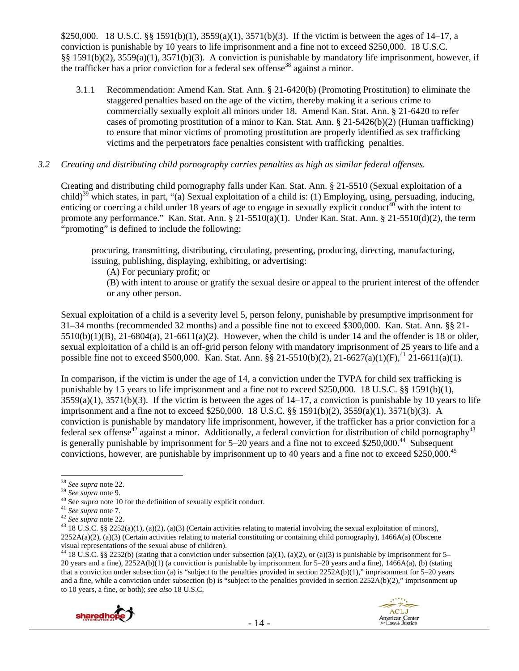\$250,000. 18 U.S.C. §§ 1591(b)(1), 3559(a)(1), 3571(b)(3). If the victim is between the ages of 14–17, a conviction is punishable by 10 years to life imprisonment and a fine not to exceed \$250,000. 18 U.S.C. §§ 1591(b)(2), 3559(a)(1), 3571(b)(3). A conviction is punishable by mandatory life imprisonment, however, if the trafficker has a prior conviction for a federal sex offense<sup>38</sup> against a minor.

3.1.1 Recommendation: Amend Kan. Stat. Ann. § 21-6420(b) (Promoting Prostitution) to eliminate the staggered penalties based on the age of the victim, thereby making it a serious crime to commercially sexually exploit all minors under 18. Amend Kan. Stat. Ann. § 21-6420 to refer cases of promoting prostitution of a minor to Kan. Stat. Ann. § 21-5426(b)(2) (Human trafficking) to ensure that minor victims of promoting prostitution are properly identified as sex trafficking victims and the perpetrators face penalties consistent with trafficking penalties.

## *3.2 Creating and distributing child pornography carries penalties as high as similar federal offenses.*

Creating and distributing child pornography falls under Kan. Stat. Ann. § 21-5510 (Sexual exploitation of a child)<sup>39</sup> which states, in part, "(a) Sexual exploitation of a child is: (1) Employing, using, persuading, inducing, enticing or coercing a child under 18 years of age to engage in sexually explicit conduct<sup>40</sup> with the intent to promote any performance." Kan. Stat. Ann.  $\S 21-5510(a)(1)$ . Under Kan. Stat. Ann.  $\S 21-5510(d)(2)$ , the term "promoting" is defined to include the following:

procuring, transmitting, distributing, circulating, presenting, producing, directing, manufacturing, issuing, publishing, displaying, exhibiting, or advertising:

(A) For pecuniary profit; or

(B) with intent to arouse or gratify the sexual desire or appeal to the prurient interest of the offender or any other person.

Sexual exploitation of a child is a severity level 5, person felony, punishable by presumptive imprisonment for 31–34 months (recommended 32 months) and a possible fine not to exceed \$300,000. Kan. Stat. Ann. §§ 21-  $5510(b)(1)(B)$ ,  $21-6804(a)$ ,  $21-6611(a)(2)$ . However, when the child is under 14 and the offender is 18 or older, sexual exploitation of a child is an off-grid person felony with mandatory imprisonment of 25 years to life and a possible fine not to exceed \$500,000. Kan. Stat. Ann. §§ 21-5510(b)(2), 21-6627(a)(1)(F),<sup>41</sup> 21-6611(a)(1).

In comparison, if the victim is under the age of 14, a conviction under the TVPA for child sex trafficking is punishable by 15 years to life imprisonment and a fine not to exceed \$250,000. 18 U.S.C. §§ 1591(b)(1),  $3559(a)(1)$ ,  $3571(b)(3)$ . If the victim is between the ages of  $14-17$ , a conviction is punishable by 10 years to life imprisonment and a fine not to exceed \$250,000. 18 U.S.C. §§ 1591(b)(2), 3559(a)(1), 3571(b)(3). A conviction is punishable by mandatory life imprisonment, however, if the trafficker has a prior conviction for a federal sex offense<sup>42</sup> against a minor. Additionally, a federal conviction for distribution of child pornography<sup>43</sup> is generally punishable by imprisonment for  $5-20$  years and a fine not to exceed \$250,000.<sup>44</sup> Subsequent convictions, however, are punishable by imprisonment up to 40 years and a fine not to exceed \$250,000.<sup>45</sup>

<sup>&</sup>lt;sup>44</sup> 18 U.S.C. §§ 2252(b) (stating that a conviction under subsection (a)(1), (a)(2), or (a)(3) is punishable by imprisonment for 5– 20 years and a fine), 2252A(b)(1) (a conviction is punishable by imprisonment for 5–20 years and a fine), 1466A(a), (b) (stating that a conviction under subsection (a) is "subject to the penalties provided in section 2252A(b)(1)," imprisonment for 5–20 years and a fine, while a conviction under subsection (b) is "subject to the penalties provided in section  $2252A(b)(2)$ ," imprisonment up to 10 years, a fine, or both); *see also* 18 U.S.C.



<sup>&</sup>lt;sup>38</sup> See supra note 22.

<sup>&</sup>lt;sup>39</sup> See supra note 9.<br><sup>40</sup> See supra note 10 for the definition of sexually explicit conduct.<br><sup>41</sup> See supra note 7.<br><sup>42</sup> See supra note 22.<br><sup>43</sup> 18 U.S.C. §§ 2252(a)(1), (a)(2), (a)(3) (Certain activities relating to ma  $2252A(a)(2)$ , (a)(3) (Certain activities relating to material constituting or containing child pornography), 1466A(a) (Obscene visual representations of the sexual abuse of children).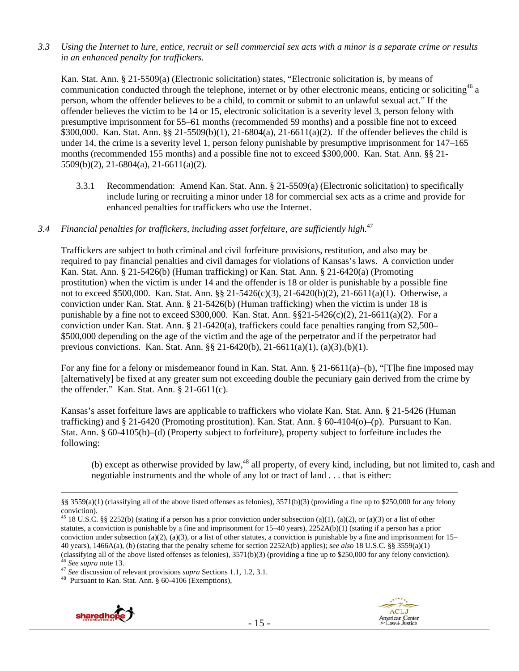*3.3 Using the Internet to lure, entice, recruit or sell commercial sex acts with a minor is a separate crime or results in an enhanced penalty for traffickers.* 

Kan. Stat. Ann. § 21-5509(a) (Electronic solicitation) states, "Electronic solicitation is, by means of communication conducted through the telephone, internet or by other electronic means, enticing or soliciting  $46$  a person, whom the offender believes to be a child, to commit or submit to an unlawful sexual act." If the offender believes the victim to be 14 or 15, electronic solicitation is a severity level 3, person felony with presumptive imprisonment for 55–61 months (recommended 59 months) and a possible fine not to exceed \$300,000. Kan. Stat. Ann. §§ 21-5509(b)(1), 21-6804(a), 21-6611(a)(2). If the offender believes the child is under 14, the crime is a severity level 1, person felony punishable by presumptive imprisonment for 147–165 months (recommended 155 months) and a possible fine not to exceed \$300,000. Kan. Stat. Ann. §§ 21- 5509(b)(2), 21-6804(a), 21-6611(a)(2).

3.3.1 Recommendation: Amend Kan. Stat. Ann. § 21-5509(a) (Electronic solicitation) to specifically include luring or recruiting a minor under 18 for commercial sex acts as a crime and provide for enhanced penalties for traffickers who use the Internet.

# *3.4 Financial penalties for traffickers, including asset forfeiture, are sufficiently high.*<sup>47</sup>

Traffickers are subject to both criminal and civil forfeiture provisions, restitution, and also may be required to pay financial penalties and civil damages for violations of Kansas's laws. A conviction under Kan. Stat. Ann. § 21-5426(b) (Human trafficking) or Kan. Stat. Ann. § 21-6420(a) (Promoting prostitution) when the victim is under 14 and the offender is 18 or older is punishable by a possible fine not to exceed \$500,000. Kan. Stat. Ann. §§ 21-5426(c)(3), 21-6420(b)(2), 21-6611(a)(1). Otherwise, a conviction under Kan. Stat. Ann. § 21-5426(b) (Human trafficking) when the victim is under 18 is punishable by a fine not to exceed \$300,000. Kan. Stat. Ann.  $\S21-5426(c)(2)$ ,  $21-6611(a)(2)$ . For a conviction under Kan. Stat. Ann. § 21-6420(a), traffickers could face penalties ranging from \$2,500– \$500,000 depending on the age of the victim and the age of the perpetrator and if the perpetrator had previous convictions. Kan. Stat. Ann. §§ 21-6420(b), 21-6611(a)(1), (a)(3),(b)(1).

For any fine for a felony or misdemeanor found in Kan. Stat. Ann. § 21-6611(a)–(b), "[T]he fine imposed may [alternatively] be fixed at any greater sum not exceeding double the pecuniary gain derived from the crime by the offender." Kan. Stat. Ann. § 21-6611(c).

Kansas's asset forfeiture laws are applicable to traffickers who violate Kan. Stat. Ann. § 21-5426 (Human trafficking) and § 21-6420 (Promoting prostitution). Kan. Stat. Ann. § 60-4104(o)–(p). Pursuant to Kan. Stat. Ann. § 60-4105(b)–(d) (Property subject to forfeiture), property subject to forfeiture includes the following:

(b) except as otherwise provided by law, $^{48}$  all property, of every kind, including, but not limited to, cash and negotiable instruments and the whole of any lot or tract of land . . . that is either:

<sup>45</sup> 18 U.S.C. §§ 2252(b) (stating if a person has a prior conviction under subsection (a)(1), (a)(2), or (a)(3) or a list of other statutes, a conviction is punishable by a fine and imprisonment for 15–40 years), 2252A(b)(1) (stating if a person has a prior conviction under subsection (a)(2), (a)(3), or a list of other statutes, a conviction is punishable by a fine and imprisonment for  $15-$ 40 years), 1466A(a), (b) (stating that the penalty scheme for section 2252A(b) applies); *see also* 18 U.S.C. §§ 3559(a)(1) (classifying all of the above listed offenses as felonies), 3571(b)(3) (providing a fine up to \$250,000 for any felony conviction).<br>
<sup>46</sup> See supra note 13.<br>
<sup>47</sup> See discussion of relevant provisions *supra* Sections 1.1





 <sup>§§ 3559(</sup>a)(1) (classifying all of the above listed offenses as felonies), 3571(b)(3) (providing a fine up to \$250,000 for any felony conviction).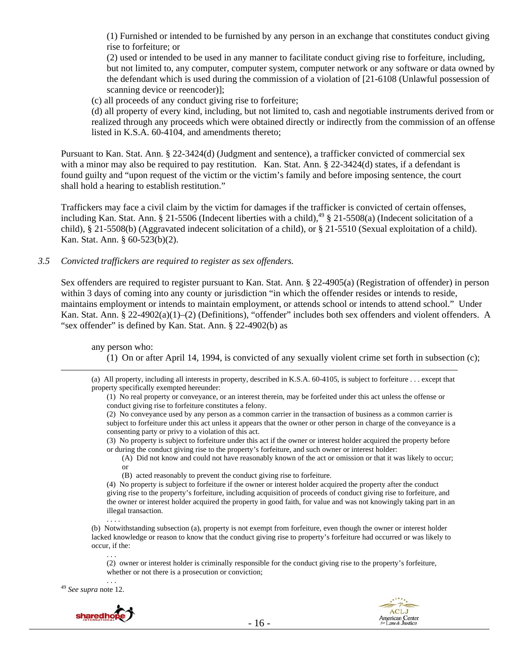(1) Furnished or intended to be furnished by any person in an exchange that constitutes conduct giving rise to forfeiture; or

(2) used or intended to be used in any manner to facilitate conduct giving rise to forfeiture, including, but not limited to, any computer, computer system, computer network or any software or data owned by the defendant which is used during the commission of a violation of [21-6108 (Unlawful possession of scanning device or reencoder)]:

(c) all proceeds of any conduct giving rise to forfeiture;

(d) all property of every kind, including, but not limited to, cash and negotiable instruments derived from or realized through any proceeds which were obtained directly or indirectly from the commission of an offense listed in K.S.A. 60-4104, and amendments thereto;

Pursuant to Kan. Stat. Ann. § 22-3424(d) (Judgment and sentence), a trafficker convicted of commercial sex with a minor may also be required to pay restitution. Kan. Stat. Ann. § 22-3424(d) states, if a defendant is found guilty and "upon request of the victim or the victim's family and before imposing sentence, the court shall hold a hearing to establish restitution."

Traffickers may face a civil claim by the victim for damages if the trafficker is convicted of certain offenses, including Kan. Stat. Ann. § 21-5506 (Indecent liberties with a child),<sup>49</sup> § 21-5508(a) (Indecent solicitation of a child), § 21-5508(b) (Aggravated indecent solicitation of a child), or § 21-5510 (Sexual exploitation of a child). Kan. Stat. Ann. § 60-523(b)(2).

*3.5 Convicted traffickers are required to register as sex offenders.* 

Sex offenders are required to register pursuant to Kan. Stat. Ann. § 22-4905(a) (Registration of offender) in person within 3 days of coming into any county or jurisdiction "in which the offender resides or intends to reside, maintains employment or intends to maintain employment, or attends school or intends to attend school." Under Kan. Stat. Ann. § 22-4902(a)(1)–(2) (Definitions), "offender" includes both sex offenders and violent offenders. A "sex offender" is defined by Kan. Stat. Ann. § 22-4902(b) as

any person who:

(1) On or after April 14, 1994, is convicted of any sexually violent crime set forth in subsection (c);

 (a) All property, including all interests in property, described in K.S.A. 60-4105, is subject to forfeiture . . . except that property specifically exempted hereunder:

(1) No real property or conveyance, or an interest therein, may be forfeited under this act unless the offense or conduct giving rise to forfeiture constitutes a felony.

(2) No conveyance used by any person as a common carrier in the transaction of business as a common carrier is subject to forfeiture under this act unless it appears that the owner or other person in charge of the conveyance is a consenting party or privy to a violation of this act.

(3) No property is subject to forfeiture under this act if the owner or interest holder acquired the property before or during the conduct giving rise to the property's forfeiture, and such owner or interest holder:

(A) Did not know and could not have reasonably known of the act or omission or that it was likely to occur; or

(B) acted reasonably to prevent the conduct giving rise to forfeiture.

(4) No property is subject to forfeiture if the owner or interest holder acquired the property after the conduct giving rise to the property's forfeiture, including acquisition of proceeds of conduct giving rise to forfeiture, and the owner or interest holder acquired the property in good faith, for value and was not knowingly taking part in an illegal transaction.

(b) Notwithstanding subsection (a), property is not exempt from forfeiture, even though the owner or interest holder lacked knowledge or reason to know that the conduct giving rise to property's forfeiture had occurred or was likely to occur, if the:

. . . (2) owner or interest holder is criminally responsible for the conduct giving rise to the property's forfeiture, whether or not there is a prosecution or conviction;

. . . 49 *See supra* note 12.



. . . .

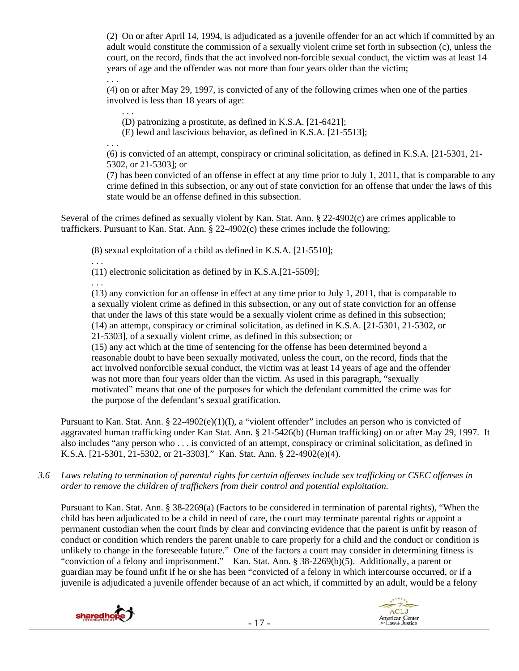(2) On or after April 14, 1994, is adjudicated as a juvenile offender for an act which if committed by an adult would constitute the commission of a sexually violent crime set forth in subsection (c), unless the court, on the record, finds that the act involved non-forcible sexual conduct, the victim was at least 14 years of age and the offender was not more than four years older than the victim;

. . . (4) on or after May 29, 1997, is convicted of any of the following crimes when one of the parties involved is less than 18 years of age:

. . . (D) patronizing a prostitute, as defined in K.S.A. [21-6421];

(E) lewd and lascivious behavior, as defined in K.S.A. [21-5513];

. . .

(6) is convicted of an attempt, conspiracy or criminal solicitation, as defined in K.S.A. [21-5301, 21- 5302, or 21-5303]; or

(7) has been convicted of an offense in effect at any time prior to July 1, 2011, that is comparable to any crime defined in this subsection, or any out of state conviction for an offense that under the laws of this state would be an offense defined in this subsection.

Several of the crimes defined as sexually violent by Kan. Stat. Ann. § 22-4902(c) are crimes applicable to traffickers. Pursuant to Kan. Stat. Ann. § 22-4902(c) these crimes include the following:

(8) sexual exploitation of a child as defined in K.S.A. [21-5510];

(11) electronic solicitation as defined by in K.S.A.[21-5509];

. . .

. . .

(13) any conviction for an offense in effect at any time prior to July 1, 2011, that is comparable to a sexually violent crime as defined in this subsection, or any out of state conviction for an offense that under the laws of this state would be a sexually violent crime as defined in this subsection; (14) an attempt, conspiracy or criminal solicitation, as defined in K.S.A. [21-5301, 21-5302, or 21-5303], of a sexually violent crime, as defined in this subsection; or (15) any act which at the time of sentencing for the offense has been determined beyond a reasonable doubt to have been sexually motivated, unless the court, on the record, finds that the act involved nonforcible sexual conduct, the victim was at least 14 years of age and the offender was not more than four years older than the victim. As used in this paragraph, "sexually motivated" means that one of the purposes for which the defendant committed the crime was for the purpose of the defendant's sexual gratification.

Pursuant to Kan. Stat. Ann. § 22-4902(e)(1)(I), a "violent offender" includes an person who is convicted of aggravated human trafficking under Kan Stat. Ann. § 21-5426(b) (Human trafficking) on or after May 29, 1997. It also includes "any person who . . . is convicted of an attempt, conspiracy or criminal solicitation, as defined in K.S.A. [21-5301, 21-5302, or 21-3303]." Kan. Stat. Ann. § 22-4902(e)(4).

*3.6 Laws relating to termination of parental rights for certain offenses include sex trafficking or CSEC offenses in order to remove the children of traffickers from their control and potential exploitation.* 

Pursuant to Kan. Stat. Ann. § 38-2269(a) (Factors to be considered in termination of parental rights), "When the child has been adjudicated to be a child in need of care, the court may terminate parental rights or appoint a permanent custodian when the court finds by clear and convincing evidence that the parent is unfit by reason of conduct or condition which renders the parent unable to care properly for a child and the conduct or condition is unlikely to change in the foreseeable future." One of the factors a court may consider in determining fitness is "conviction of a felony and imprisonment." Kan. Stat. Ann. § 38-2269(b)(5). Additionally, a parent or guardian may be found unfit if he or she has been "convicted of a felony in which intercourse occurred, or if a juvenile is adjudicated a juvenile offender because of an act which, if committed by an adult, would be a felony



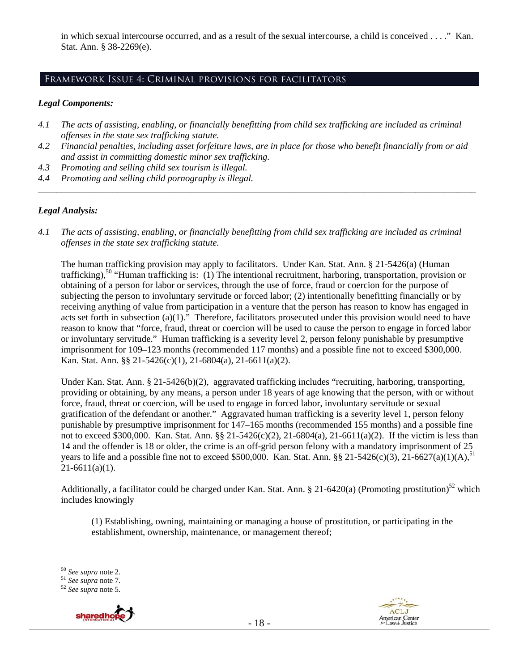in which sexual intercourse occurred, and as a result of the sexual intercourse, a child is conceived . . . ." Kan. Stat. Ann. § 38-2269(e).

# Framework Issue 4: Criminal provisions for facilitators

#### *Legal Components:*

- *4.1 The acts of assisting, enabling, or financially benefitting from child sex trafficking are included as criminal offenses in the state sex trafficking statute.*
- *4.2 Financial penalties, including asset forfeiture laws, are in place for those who benefit financially from or aid and assist in committing domestic minor sex trafficking.*

*\_\_\_\_\_\_\_\_\_\_\_\_\_\_\_\_\_\_\_\_\_\_\_\_\_\_\_\_\_\_\_\_\_\_\_\_\_\_\_\_\_\_\_\_\_\_\_\_\_\_\_\_\_\_\_\_\_\_\_\_\_\_\_\_\_\_\_\_\_\_\_\_\_\_\_\_\_\_\_\_\_\_\_\_\_\_\_\_\_\_\_\_\_\_* 

- *4.3 Promoting and selling child sex tourism is illegal.*
- *4.4 Promoting and selling child pornography is illegal.*

## *Legal Analysis:*

*4.1 The acts of assisting, enabling, or financially benefitting from child sex trafficking are included as criminal offenses in the state sex trafficking statute.* 

The human trafficking provision may apply to facilitators. Under Kan. Stat. Ann. § 21-5426(a) (Human trafficking),<sup>50</sup> "Human trafficking is: (1) The intentional recruitment, harboring, transportation, provision or obtaining of a person for labor or services, through the use of force, fraud or coercion for the purpose of subjecting the person to involuntary servitude or forced labor; (2) intentionally benefitting financially or by receiving anything of value from participation in a venture that the person has reason to know has engaged in acts set forth in subsection (a)(1)." Therefore, facilitators prosecuted under this provision would need to have reason to know that "force, fraud, threat or coercion will be used to cause the person to engage in forced labor or involuntary servitude." Human trafficking is a severity level 2, person felony punishable by presumptive imprisonment for 109–123 months (recommended 117 months) and a possible fine not to exceed \$300,000. Kan. Stat. Ann. §§ 21-5426(c)(1), 21-6804(a), 21-6611(a)(2).

Under Kan. Stat. Ann. § 21-5426(b)(2), aggravated trafficking includes "recruiting, harboring, transporting, providing or obtaining, by any means, a person under 18 years of age knowing that the person, with or without force, fraud, threat or coercion, will be used to engage in forced labor, involuntary servitude or sexual gratification of the defendant or another." Aggravated human trafficking is a severity level 1, person felony punishable by presumptive imprisonment for 147–165 months (recommended 155 months) and a possible fine not to exceed \$300,000. Kan. Stat. Ann. §§ 21-5426(c)(2), 21-6804(a), 21-6611(a)(2). If the victim is less than 14 and the offender is 18 or older, the crime is an off-grid person felony with a mandatory imprisonment of 25 years to life and a possible fine not to exceed \$500,000. Kan. Stat. Ann. §§ 21-5426(c)(3), 21-6627(a)(1)(A),<sup>51</sup>  $21-6611(a)(1)$ .

Additionally, a facilitator could be charged under Kan. Stat. Ann. § 21-6420(a) (Promoting prostitution)<sup>52</sup> which includes knowingly

(1) Establishing, owning, maintaining or managing a house of prostitution, or participating in the establishment, ownership, maintenance, or management thereof;

<sup>50</sup> *See supra* note 2. 51 *See supra* note 7. 52 *See supra* note 5.





 $50$  See supra note 2.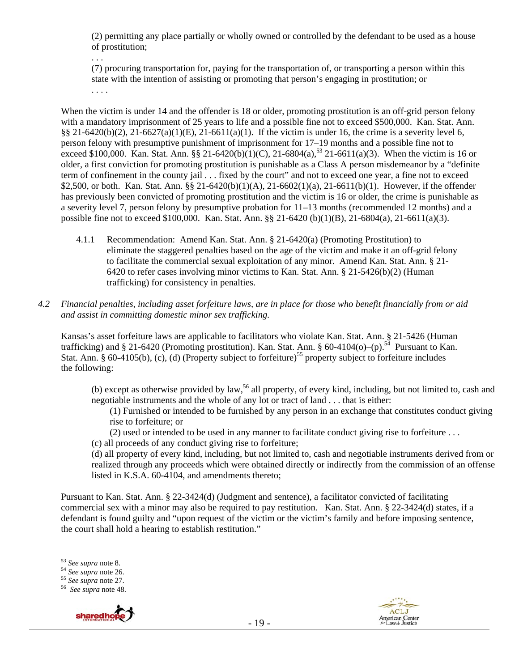(2) permitting any place partially or wholly owned or controlled by the defendant to be used as a house of prostitution;

(7) procuring transportation for, paying for the transportation of, or transporting a person within this state with the intention of assisting or promoting that person's engaging in prostitution; or . . . .

When the victim is under 14 and the offender is 18 or older, promoting prostitution is an off-grid person felony with a mandatory imprisonment of 25 years to life and a possible fine not to exceed \$500,000. Kan. Stat. Ann. §§ 21-6420(b)(2), 21-6627(a)(1)(E), 21-6611(a)(1). If the victim is under 16, the crime is a severity level 6, person felony with presumptive punishment of imprisonment for 17–19 months and a possible fine not to exceed \$100,000. Kan. Stat. Ann. §§ 21-6420(b)(1)(C), 21-6804(a),<sup>53</sup> 21-6611(a)(3). When the victim is 16 or older, a first conviction for promoting prostitution is punishable as a Class A person misdemeanor by a "definite term of confinement in the county jail . . . fixed by the court" and not to exceed one year, a fine not to exceed \$2,500, or both. Kan. Stat. Ann. §§ 21-6420(b)(1)(A), 21-6602(1)(a), 21-6611(b)(1). However, if the offender has previously been convicted of promoting prostitution and the victim is 16 or older, the crime is punishable as a severity level 7, person felony by presumptive probation for 11–13 months (recommended 12 months) and a possible fine not to exceed \$100,000. Kan. Stat. Ann. §§ 21-6420 (b)(1)(B), 21-6804(a), 21-6611(a)(3).

- 4.1.1 Recommendation: Amend Kan. Stat. Ann. § 21-6420(a) (Promoting Prostitution) to eliminate the staggered penalties based on the age of the victim and make it an off-grid felony to facilitate the commercial sexual exploitation of any minor. Amend Kan. Stat. Ann. § 21- 6420 to refer cases involving minor victims to Kan. Stat. Ann. § 21-5426(b)(2) (Human trafficking) for consistency in penalties.
- *4.2 Financial penalties, including asset forfeiture laws, are in place for those who benefit financially from or aid and assist in committing domestic minor sex trafficking.*

Kansas's asset forfeiture laws are applicable to facilitators who violate Kan. Stat. Ann. § 21-5426 (Human trafficking) and § 21-6420 (Promoting prostitution). Kan. Stat. Ann. § 60-4104(o)–(p).<sup>54</sup> Pursuant to Kan. Stat. Ann. § 60-4105(b), (c), (d) (Property subject to forfeiture)<sup>55</sup> property subject to forfeiture includes the following:

(b) except as otherwise provided by law,<sup>56</sup> all property, of every kind, including, but not limited to, cash and negotiable instruments and the whole of any lot or tract of land . . . that is either:

(1) Furnished or intended to be furnished by any person in an exchange that constitutes conduct giving rise to forfeiture; or

(2) used or intended to be used in any manner to facilitate conduct giving rise to forfeiture . . .

(c) all proceeds of any conduct giving rise to forfeiture;

(d) all property of every kind, including, but not limited to, cash and negotiable instruments derived from or realized through any proceeds which were obtained directly or indirectly from the commission of an offense listed in K.S.A. 60-4104, and amendments thereto;

Pursuant to Kan. Stat. Ann. § 22-3424(d) (Judgment and sentence), a facilitator convicted of facilitating commercial sex with a minor may also be required to pay restitution. Kan. Stat. Ann. § 22-3424(d) states, if a defendant is found guilty and "upon request of the victim or the victim's family and before imposing sentence, the court shall hold a hearing to establish restitution."

. . .





<sup>&</sup>lt;sup>53</sup> See supra note 8.

<sup>53</sup> *See supra* note 8. 54 *See supra* note 26. 55 *See supra* note 27. 56 *See supra* note 48.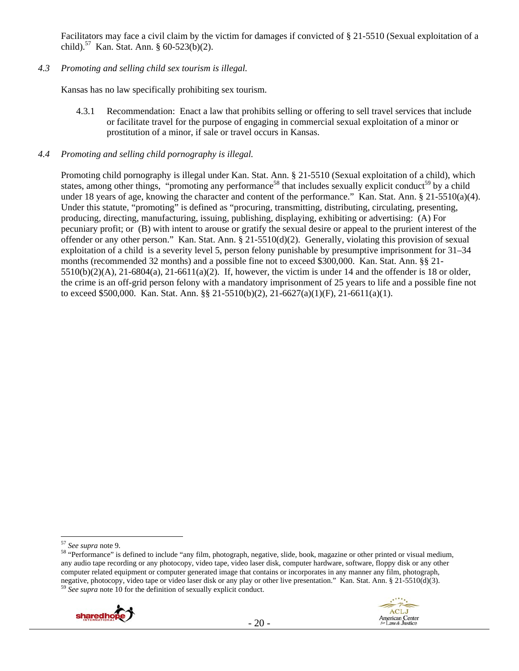Facilitators may face a civil claim by the victim for damages if convicted of § 21-5510 (Sexual exploitation of a child).<sup>57</sup> Kan. Stat. Ann. § 60-523(b)(2).

#### *4.3 Promoting and selling child sex tourism is illegal.*

Kansas has no law specifically prohibiting sex tourism.

4.3.1 Recommendation: Enact a law that prohibits selling or offering to sell travel services that include or facilitate travel for the purpose of engaging in commercial sexual exploitation of a minor or prostitution of a minor, if sale or travel occurs in Kansas.

## *4.4 Promoting and selling child pornography is illegal.*

Promoting child pornography is illegal under Kan. Stat. Ann. § 21-5510 (Sexual exploitation of a child), which states, among other things, "promoting any performance<sup>58</sup> that includes sexually explicit conduct<sup>59</sup> by a child under 18 years of age, knowing the character and content of the performance." Kan. Stat. Ann. § 21-5510(a)(4). Under this statute, "promoting" is defined as "procuring, transmitting, distributing, circulating, presenting, producing, directing, manufacturing, issuing, publishing, displaying, exhibiting or advertising: (A) For pecuniary profit; or (B) with intent to arouse or gratify the sexual desire or appeal to the prurient interest of the offender or any other person." Kan. Stat. Ann. § 21-5510(d)(2). Generally, violating this provision of sexual exploitation of a child is a severity level 5, person felony punishable by presumptive imprisonment for 31–34 months (recommended 32 months) and a possible fine not to exceed \$300,000. Kan. Stat. Ann. §§ 21-  $5510(b)(2)(A)$ ,  $21-6804(a)$ ,  $21-6611(a)(2)$ . If, however, the victim is under 14 and the offender is 18 or older, the crime is an off-grid person felony with a mandatory imprisonment of 25 years to life and a possible fine not to exceed \$500,000. Kan. Stat. Ann. §§ 21-5510(b)(2), 21-6627(a)(1)(F), 21-6611(a)(1).

<sup>&</sup>lt;sup>58</sup> "Performance" is defined to include "any film, photograph, negative, slide, book, magazine or other printed or visual medium, any audio tape recording or any photocopy, video tape, video laser disk, computer hardware, software, floppy disk or any other computer related equipment or computer generated image that contains or incorporates in any manner any film, photograph, negative, photocopy, video tape or video laser disk or any play or other live presentation." Kan. Stat. Ann. § 21-5510(d)(3). 59 *See supra* note 10 for the definition of sexually explicit conduct.



<sup>&</sup>lt;sup>57</sup> See supra note 9.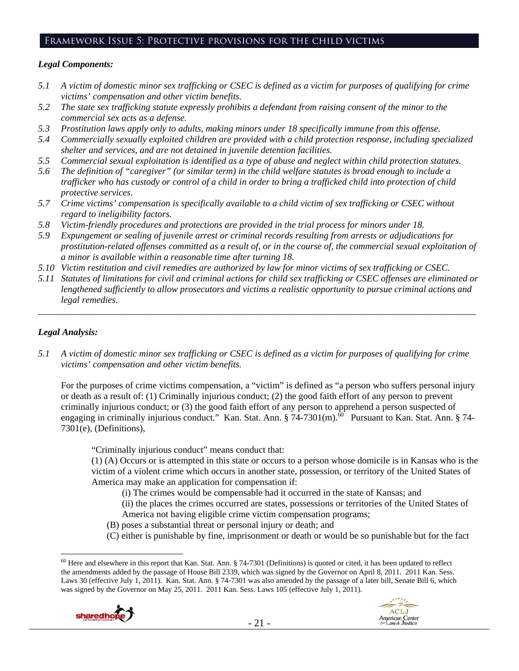## Framework Issue 5: Protective provisions for the child victims

#### *Legal Components:*

- *5.1 A victim of domestic minor sex trafficking or CSEC is defined as a victim for purposes of qualifying for crime victims' compensation and other victim benefits.*
- *5.2 The state sex trafficking statute expressly prohibits a defendant from raising consent of the minor to the commercial sex acts as a defense.*
- *5.3 Prostitution laws apply only to adults, making minors under 18 specifically immune from this offense.*
- *5.4 Commercially sexually exploited children are provided with a child protection response, including specialized shelter and services, and are not detained in juvenile detention facilities.*
- *5.5 Commercial sexual exploitation is identified as a type of abuse and neglect within child protection statutes.*
- *5.6 The definition of "caregiver" (or similar term) in the child welfare statutes is broad enough to include a trafficker who has custody or control of a child in order to bring a trafficked child into protection of child protective services.*
- *5.7 Crime victims' compensation is specifically available to a child victim of sex trafficking or CSEC without regard to ineligibility factors.*
- *5.8 Victim-friendly procedures and protections are provided in the trial process for minors under 18.*
- *5.9 Expungement or sealing of juvenile arrest or criminal records resulting from arrests or adjudications for prostitution-related offenses committed as a result of, or in the course of, the commercial sexual exploitation of a minor is available within a reasonable time after turning 18.*
- *5.10 Victim restitution and civil remedies are authorized by law for minor victims of sex trafficking or CSEC.*
- *5.11 Statutes of limitations for civil and criminal actions for child sex trafficking or CSEC offenses are eliminated or lengthened sufficiently to allow prosecutors and victims a realistic opportunity to pursue criminal actions and legal remedies.*

*\_\_\_\_\_\_\_\_\_\_\_\_\_\_\_\_\_\_\_\_\_\_\_\_\_\_\_\_\_\_\_\_\_\_\_\_\_\_\_\_\_\_\_\_\_\_\_\_\_\_\_\_\_\_\_\_\_\_\_\_\_\_\_\_\_\_\_\_\_\_\_\_\_\_\_\_\_\_\_\_\_\_\_\_\_\_\_\_\_\_\_\_\_\_* 

## *Legal Analysis:*

*5.1 A victim of domestic minor sex trafficking or CSEC is defined as a victim for purposes of qualifying for crime victims' compensation and other victim benefits.* 

For the purposes of crime victims compensation, a "victim" is defined as "a person who suffers personal injury or death as a result of: (1) Criminally injurious conduct; (2) the good faith effort of any person to prevent criminally injurious conduct; or (3) the good faith effort of any person to apprehend a person suspected of engaging in criminally injurious conduct." Kan. Stat. Ann.  $\S 74-7301$ (m).<sup> $\delta$ 0</sup> Pursuant to Kan. Stat. Ann.  $\S 74-$ 7301(e), (Definitions),

"Criminally injurious conduct" means conduct that:

(1) (A) Occurs or is attempted in this state or occurs to a person whose domicile is in Kansas who is the victim of a violent crime which occurs in another state, possession, or territory of the United States of America may make an application for compensation if:

(i) The crimes would be compensable had it occurred in the state of Kansas; and

(ii) the places the crimes occurred are states, possessions or territories of the United States of America not having eligible crime victim compensation programs;

- (B) poses a substantial threat or personal injury or death; and
- (C) either is punishable by fine, imprisonment or death or would be so punishable but for the fact

 $\overline{a}$  $60$  Here and elsewhere in this report that Kan. Stat. Ann. § 74-7301 (Definitions) is quoted or cited, it has been updated to reflect the amendments added by the passage of House Bill 2339, which was signed by the Governor on April 8, 2011. 2011 Kan. Sess. Laws 30 (effective July 1, 2011). Kan. Stat. Ann. § 74-7301 was also amended by the passage of a later bill, Senate Bill 6, which was signed by the Governor on May 25, 2011. 2011 Kan. Sess. Laws 105 (effective July 1, 2011).



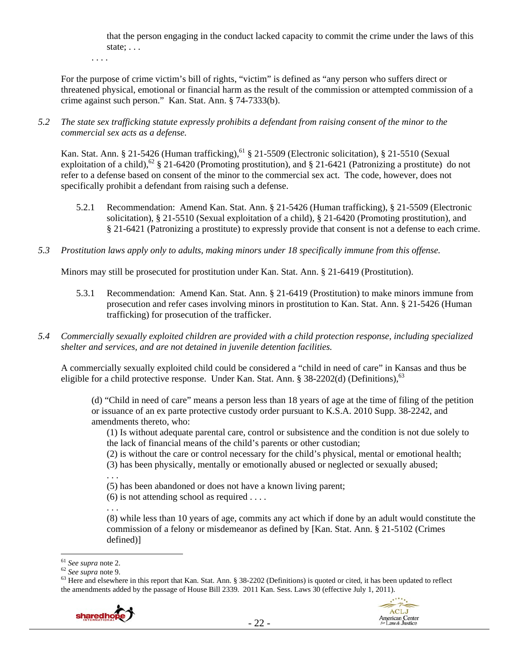that the person engaging in the conduct lacked capacity to commit the crime under the laws of this state; . . .

. . . .

For the purpose of crime victim's bill of rights, "victim" is defined as "any person who suffers direct or threatened physical, emotional or financial harm as the result of the commission or attempted commission of a crime against such person." Kan. Stat. Ann. § 74-7333(b).

*5.2 The state sex trafficking statute expressly prohibits a defendant from raising consent of the minor to the commercial sex acts as a defense.* 

Kan. Stat. Ann. § 21-5426 (Human trafficking),<sup>61</sup> § 21-5509 (Electronic solicitation), § 21-5510 (Sexual exploitation of a child),<sup>62</sup> § 21-6420 (Promoting prostitution), and § 21-6421 (Patronizing a prostitute) do not refer to a defense based on consent of the minor to the commercial sex act. The code, however, does not specifically prohibit a defendant from raising such a defense.

- 5.2.1 Recommendation: Amend Kan. Stat. Ann. § 21-5426 (Human trafficking), § 21-5509 (Electronic solicitation), § 21-5510 (Sexual exploitation of a child), § 21-6420 (Promoting prostitution), and § 21-6421 (Patronizing a prostitute) to expressly provide that consent is not a defense to each crime.
- *5.3 Prostitution laws apply only to adults, making minors under 18 specifically immune from this offense.*

Minors may still be prosecuted for prostitution under Kan. Stat. Ann. § 21-6419 (Prostitution).

- 5.3.1 Recommendation: Amend Kan. Stat. Ann. § 21-6419 (Prostitution) to make minors immune from prosecution and refer cases involving minors in prostitution to Kan. Stat. Ann. § 21-5426 (Human trafficking) for prosecution of the trafficker.
- *5.4 Commercially sexually exploited children are provided with a child protection response, including specialized shelter and services, and are not detained in juvenile detention facilities.*

A commercially sexually exploited child could be considered a "child in need of care" in Kansas and thus be eligible for a child protective response. Under Kan. Stat. Ann. § 38-2202(d) (Definitions),  $^{63}$ 

(d) "Child in need of care" means a person less than 18 years of age at the time of filing of the petition or issuance of an ex parte protective custody order pursuant to K.S.A. 2010 Supp. 38-2242, and amendments thereto, who:

(1) Is without adequate parental care, control or subsistence and the condition is not due solely to the lack of financial means of the child's parents or other custodian;

(2) is without the care or control necessary for the child's physical, mental or emotional health;

(3) has been physically, mentally or emotionally abused or neglected or sexually abused;

. . .

(5) has been abandoned or does not have a known living parent;

(6) is not attending school as required . . . .

. . .

(8) while less than 10 years of age, commits any act which if done by an adult would constitute the commission of a felony or misdemeanor as defined by [Kan. Stat. Ann. § 21-5102 (Crimes defined)]

 $\overline{a}$ 

<sup>&</sup>lt;sup>61</sup> *See supra* note 2.<br><sup>62</sup> *See supra* note 9.<br><sup>63</sup> Here and elsewhere in this report that Kan. Stat. Ann. § 38-2202 (Definitions) is quoted or cited, it has been updated to reflect the amendments added by the passage of House Bill 2339. 2011 Kan. Sess. Laws 30 (effective July 1, 2011).



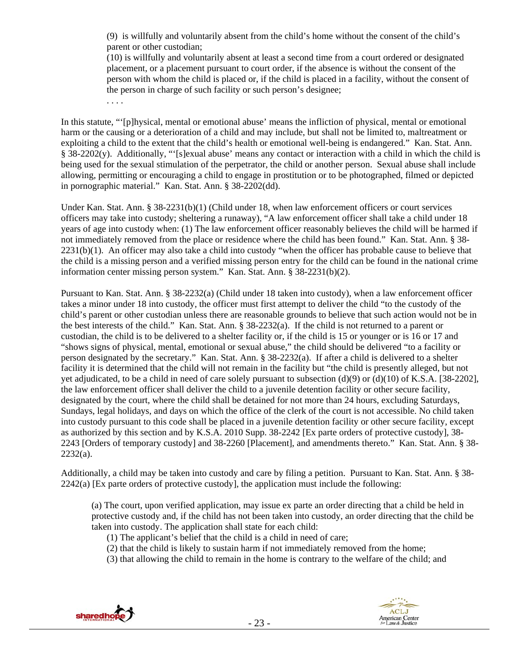(9) is willfully and voluntarily absent from the child's home without the consent of the child's parent or other custodian;

(10) is willfully and voluntarily absent at least a second time from a court ordered or designated placement, or a placement pursuant to court order, if the absence is without the consent of the person with whom the child is placed or, if the child is placed in a facility, without the consent of the person in charge of such facility or such person's designee;

. . . .

In this statute, "'[p]hysical, mental or emotional abuse' means the infliction of physical, mental or emotional harm or the causing or a deterioration of a child and may include, but shall not be limited to, maltreatment or exploiting a child to the extent that the child's health or emotional well-being is endangered." Kan. Stat. Ann. § 38-2202(y). Additionally, "'[s]exual abuse' means any contact or interaction with a child in which the child is being used for the sexual stimulation of the perpetrator, the child or another person. Sexual abuse shall include allowing, permitting or encouraging a child to engage in prostitution or to be photographed, filmed or depicted in pornographic material." Kan. Stat. Ann. § 38-2202(dd).

Under Kan. Stat. Ann. § 38-2231(b)(1) (Child under 18, when law enforcement officers or court services officers may take into custody; sheltering a runaway), "A law enforcement officer shall take a child under 18 years of age into custody when: (1) The law enforcement officer reasonably believes the child will be harmed if not immediately removed from the place or residence where the child has been found." Kan. Stat. Ann. § 38- 2231(b)(1). An officer may also take a child into custody "when the officer has probable cause to believe that the child is a missing person and a verified missing person entry for the child can be found in the national crime information center missing person system." Kan. Stat. Ann. § 38-2231(b)(2).

Pursuant to Kan. Stat. Ann. § 38-2232(a) (Child under 18 taken into custody), when a law enforcement officer takes a minor under 18 into custody, the officer must first attempt to deliver the child "to the custody of the child's parent or other custodian unless there are reasonable grounds to believe that such action would not be in the best interests of the child." Kan. Stat. Ann. § 38-2232(a). If the child is not returned to a parent or custodian, the child is to be delivered to a shelter facility or, if the child is 15 or younger or is 16 or 17 and "shows signs of physical, mental, emotional or sexual abuse," the child should be delivered "to a facility or person designated by the secretary." Kan. Stat. Ann. § 38-2232(a). If after a child is delivered to a shelter facility it is determined that the child will not remain in the facility but "the child is presently alleged, but not yet adjudicated, to be a child in need of care solely pursuant to subsection (d)(9) or (d)(10) of K.S.A. [38-2202], the law enforcement officer shall deliver the child to a juvenile detention facility or other secure facility, designated by the court, where the child shall be detained for not more than 24 hours, excluding Saturdays, Sundays, legal holidays, and days on which the office of the clerk of the court is not accessible. No child taken into custody pursuant to this code shall be placed in a juvenile detention facility or other secure facility, except as authorized by this section and by K.S.A. 2010 Supp. 38-2242 [Ex parte orders of protective custody], 38- 2243 [Orders of temporary custody] and 38-2260 [Placement], and amendments thereto." Kan. Stat. Ann. § 38-  $2232(a)$ .

Additionally, a child may be taken into custody and care by filing a petition. Pursuant to Kan. Stat. Ann. § 38-  $2242(a)$  [Ex parte orders of protective custody], the application must include the following:

(a) The court, upon verified application, may issue ex parte an order directing that a child be held in protective custody and, if the child has not been taken into custody, an order directing that the child be taken into custody. The application shall state for each child:

- (1) The applicant's belief that the child is a child in need of care;
- (2) that the child is likely to sustain harm if not immediately removed from the home;
- (3) that allowing the child to remain in the home is contrary to the welfare of the child; and



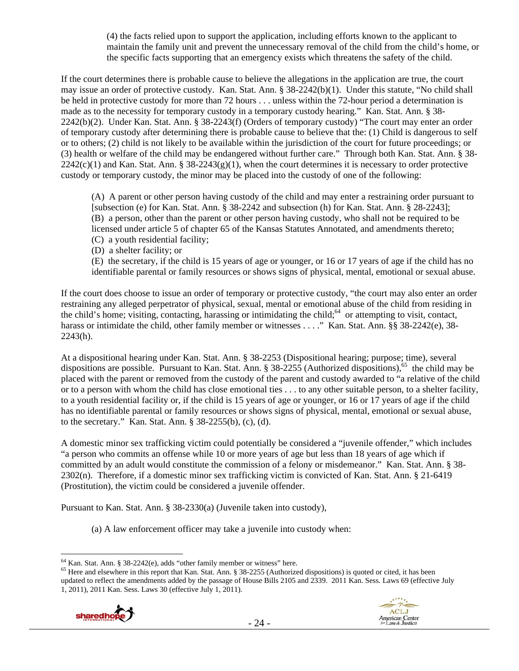(4) the facts relied upon to support the application, including efforts known to the applicant to maintain the family unit and prevent the unnecessary removal of the child from the child's home, or the specific facts supporting that an emergency exists which threatens the safety of the child.

If the court determines there is probable cause to believe the allegations in the application are true, the court may issue an order of protective custody. Kan. Stat. Ann. § 38-2242(b)(1). Under this statute, "No child shall be held in protective custody for more than 72 hours . . . unless within the 72-hour period a determination is made as to the necessity for temporary custody in a temporary custody hearing." Kan. Stat. Ann. § 38- 2242(b)(2). Under Kan. Stat. Ann. § 38-2243(f) (Orders of temporary custody) "The court may enter an order of temporary custody after determining there is probable cause to believe that the: (1) Child is dangerous to self or to others; (2) child is not likely to be available within the jurisdiction of the court for future proceedings; or (3) health or welfare of the child may be endangered without further care." Through both Kan. Stat. Ann. § 38-  $2242(c)(1)$  and Kan. Stat. Ann. § 38-2243(g)(1), when the court determines it is necessary to order protective custody or temporary custody, the minor may be placed into the custody of one of the following:

(A) A parent or other person having custody of the child and may enter a restraining order pursuant to [subsection (e) for Kan. Stat. Ann. § 38-2242 and subsection (h) for Kan. Stat. Ann. § 28-2243]; (B) a person, other than the parent or other person having custody, who shall not be required to be licensed under article 5 of chapter 65 of the Kansas Statutes Annotated, and amendments thereto; (C) a youth residential facility;

(D) a shelter facility; or

(E) the secretary, if the child is 15 years of age or younger, or 16 or 17 years of age if the child has no identifiable parental or family resources or shows signs of physical, mental, emotional or sexual abuse.

If the court does choose to issue an order of temporary or protective custody, "the court may also enter an order restraining any alleged perpetrator of physical, sexual, mental or emotional abuse of the child from residing in the child's home; visiting, contacting, harassing or intimidating the child;<sup>64</sup> or attempting to visit, contact, harass or intimidate the child, other family member or witnesses . . . ." Kan. Stat. Ann. §§ 38-2242(e), 38-2243(h).

At a dispositional hearing under Kan. Stat. Ann. § 38-2253 (Dispositional hearing; purpose; time), several dispositions are possible. Pursuant to Kan. Stat. Ann.  $\S$  38-2255 (Authorized dispositions),<sup>65</sup> the child may be placed with the parent or removed from the custody of the parent and custody awarded to "a relative of the child or to a person with whom the child has close emotional ties . . . to any other suitable person, to a shelter facility, to a youth residential facility or, if the child is 15 years of age or younger, or 16 or 17 years of age if the child has no identifiable parental or family resources or shows signs of physical, mental, emotional or sexual abuse, to the secretary." Kan. Stat. Ann. § 38-2255(b), (c), (d).

A domestic minor sex trafficking victim could potentially be considered a "juvenile offender," which includes "a person who commits an offense while 10 or more years of age but less than 18 years of age which if committed by an adult would constitute the commission of a felony or misdemeanor." Kan. Stat. Ann. § 38- 2302(n). Therefore, if a domestic minor sex trafficking victim is convicted of Kan. Stat. Ann. § 21-6419 (Prostitution), the victim could be considered a juvenile offender.

Pursuant to Kan. Stat. Ann. § 38-2330(a) (Juvenile taken into custody),

(a) A law enforcement officer may take a juvenile into custody when:

<sup>&</sup>lt;sup>64</sup> Kan. Stat. Ann. § 38-2242(e), adds "other family member or witness" here.<br><sup>65</sup> Here and elsewhere in this report that Kan. Stat. Ann. § 38-2255 (Authorized dispositions) is quoted or cited, it has been updated to reflect the amendments added by the passage of House Bills 2105 and 2339. 2011 Kan. Sess. Laws 69 (effective July 1, 2011), 2011 Kan. Sess. Laws 30 (effective July 1, 2011).



 $\overline{a}$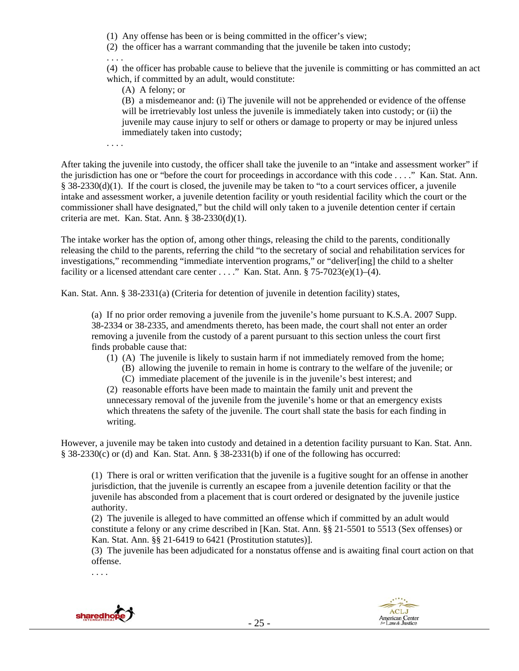(1) Any offense has been or is being committed in the officer's view;

(2) the officer has a warrant commanding that the juvenile be taken into custody;

. . . .

(4) the officer has probable cause to believe that the juvenile is committing or has committed an act which, if committed by an adult, would constitute:

(A) A felony; or

(B) a misdemeanor and: (i) The juvenile will not be apprehended or evidence of the offense will be irretrievably lost unless the juvenile is immediately taken into custody; or (ii) the juvenile may cause injury to self or others or damage to property or may be injured unless immediately taken into custody;

. . . .

After taking the juvenile into custody, the officer shall take the juvenile to an "intake and assessment worker" if the jurisdiction has one or "before the court for proceedings in accordance with this code . . . ." Kan. Stat. Ann. § 38-2330(d)(1). If the court is closed, the juvenile may be taken to "to a court services officer, a juvenile intake and assessment worker, a juvenile detention facility or youth residential facility which the court or the commissioner shall have designated," but the child will only taken to a juvenile detention center if certain criteria are met. Kan. Stat. Ann. § 38-2330(d)(1).

The intake worker has the option of, among other things, releasing the child to the parents, conditionally releasing the child to the parents, referring the child "to the secretary of social and rehabilitation services for investigations," recommending "immediate intervention programs," or "deliver[ing] the child to a shelter facility or a licensed attendant care center . . . ." Kan. Stat. Ann. § 75-7023(e)(1)–(4).

Kan. Stat. Ann. § 38-2331(a) (Criteria for detention of juvenile in detention facility) states,

(a) If no prior order removing a juvenile from the juvenile's home pursuant to K.S.A. 2007 Supp. 38-2334 or 38-2335, and amendments thereto, has been made, the court shall not enter an order removing a juvenile from the custody of a parent pursuant to this section unless the court first finds probable cause that:

(1) (A) The juvenile is likely to sustain harm if not immediately removed from the home;

(B) allowing the juvenile to remain in home is contrary to the welfare of the juvenile; or (C) immediate placement of the juvenile is in the juvenile's best interest; and

(2) reasonable efforts have been made to maintain the family unit and prevent the unnecessary removal of the juvenile from the juvenile's home or that an emergency exists which threatens the safety of the juvenile. The court shall state the basis for each finding in writing.

However, a juvenile may be taken into custody and detained in a detention facility pursuant to Kan. Stat. Ann. § 38-2330(c) or (d) and Kan. Stat. Ann. § 38-2331(b) if one of the following has occurred:

(1) There is oral or written verification that the juvenile is a fugitive sought for an offense in another jurisdiction, that the juvenile is currently an escapee from a juvenile detention facility or that the juvenile has absconded from a placement that is court ordered or designated by the juvenile justice authority.

(2) The juvenile is alleged to have committed an offense which if committed by an adult would constitute a felony or any crime described in [Kan. Stat. Ann. §§ 21-5501 to 5513 (Sex offenses) or Kan. Stat. Ann. §§ 21-6419 to 6421 (Prostitution statutes)].

(3) The juvenile has been adjudicated for a nonstatus offense and is awaiting final court action on that offense.

. . . .



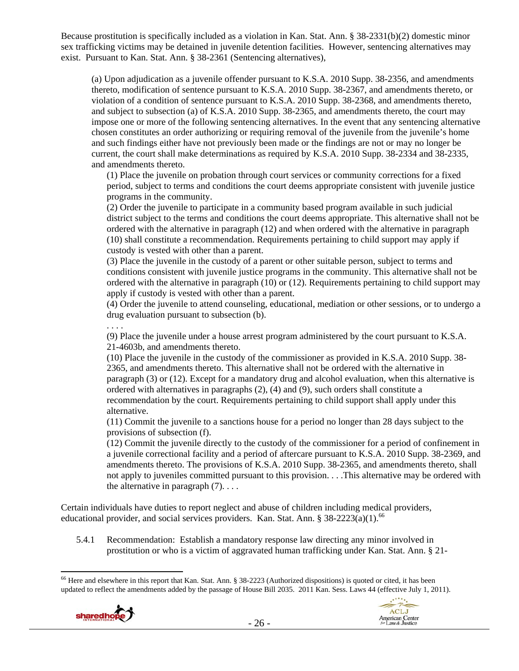Because prostitution is specifically included as a violation in Kan. Stat. Ann. § 38-2331(b)(2) domestic minor sex trafficking victims may be detained in juvenile detention facilities. However, sentencing alternatives may exist. Pursuant to Kan. Stat. Ann. § 38-2361 (Sentencing alternatives),

(a) Upon adjudication as a juvenile offender pursuant to K.S.A. 2010 Supp. 38-2356, and amendments thereto, modification of sentence pursuant to K.S.A. 2010 Supp. 38-2367, and amendments thereto, or violation of a condition of sentence pursuant to K.S.A. 2010 Supp. 38-2368, and amendments thereto, and subject to subsection (a) of K.S.A. 2010 Supp. 38-2365, and amendments thereto, the court may impose one or more of the following sentencing alternatives. In the event that any sentencing alternative chosen constitutes an order authorizing or requiring removal of the juvenile from the juvenile's home and such findings either have not previously been made or the findings are not or may no longer be current, the court shall make determinations as required by K.S.A. 2010 Supp. 38-2334 and 38-2335, and amendments thereto.

(1) Place the juvenile on probation through court services or community corrections for a fixed period, subject to terms and conditions the court deems appropriate consistent with juvenile justice programs in the community.

(2) Order the juvenile to participate in a community based program available in such judicial district subject to the terms and conditions the court deems appropriate. This alternative shall not be ordered with the alternative in paragraph (12) and when ordered with the alternative in paragraph (10) shall constitute a recommendation. Requirements pertaining to child support may apply if custody is vested with other than a parent.

(3) Place the juvenile in the custody of a parent or other suitable person, subject to terms and conditions consistent with juvenile justice programs in the community. This alternative shall not be ordered with the alternative in paragraph (10) or (12). Requirements pertaining to child support may apply if custody is vested with other than a parent.

(4) Order the juvenile to attend counseling, educational, mediation or other sessions, or to undergo a drug evaluation pursuant to subsection (b).

(9) Place the juvenile under a house arrest program administered by the court pursuant to K.S.A. 21-4603b, and amendments thereto.

(10) Place the juvenile in the custody of the commissioner as provided in K.S.A. 2010 Supp. 38- 2365, and amendments thereto. This alternative shall not be ordered with the alternative in paragraph (3) or (12). Except for a mandatory drug and alcohol evaluation, when this alternative is ordered with alternatives in paragraphs (2), (4) and (9), such orders shall constitute a recommendation by the court. Requirements pertaining to child support shall apply under this alternative.

(11) Commit the juvenile to a sanctions house for a period no longer than 28 days subject to the provisions of subsection (f).

(12) Commit the juvenile directly to the custody of the commissioner for a period of confinement in a juvenile correctional facility and a period of aftercare pursuant to K.S.A. 2010 Supp. 38-2369, and amendments thereto. The provisions of K.S.A. 2010 Supp. 38-2365, and amendments thereto, shall not apply to juveniles committed pursuant to this provision. . . .This alternative may be ordered with the alternative in paragraph  $(7)$ ...

Certain individuals have duties to report neglect and abuse of children including medical providers, educational provider, and social services providers. Kan. Stat. Ann. §  $38-2223(a)(1).$ <sup>66</sup>

5.4.1 Recommendation: Establish a mandatory response law directing any minor involved in prostitution or who is a victim of aggravated human trafficking under Kan. Stat. Ann. § 21-

 $\overline{a}$ <sup>66</sup> Here and elsewhere in this report that Kan. Stat. Ann. § 38-2223 (Authorized dispositions) is quoted or cited, it has been updated to reflect the amendments added by the passage of House Bill 2035. 2011 Kan. Sess. Laws 44 (effective July 1, 2011).



. . . .

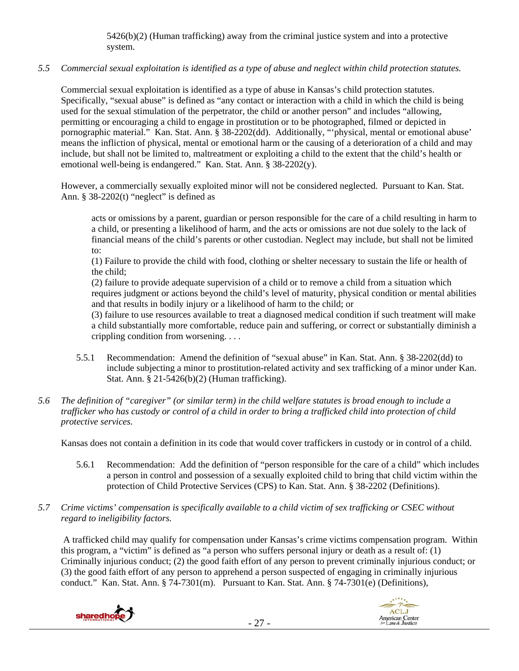5426(b)(2) (Human trafficking) away from the criminal justice system and into a protective system.

# *5.5 Commercial sexual exploitation is identified as a type of abuse and neglect within child protection statutes.*

Commercial sexual exploitation is identified as a type of abuse in Kansas's child protection statutes. Specifically, "sexual abuse" is defined as "any contact or interaction with a child in which the child is being used for the sexual stimulation of the perpetrator, the child or another person" and includes "allowing, permitting or encouraging a child to engage in prostitution or to be photographed, filmed or depicted in pornographic material." Kan. Stat. Ann. § 38-2202(dd). Additionally, "'physical, mental or emotional abuse' means the infliction of physical, mental or emotional harm or the causing of a deterioration of a child and may include, but shall not be limited to, maltreatment or exploiting a child to the extent that the child's health or emotional well-being is endangered." Kan. Stat. Ann. § 38-2202(y).

However, a commercially sexually exploited minor will not be considered neglected. Pursuant to Kan. Stat. Ann.  $§$  38-2202(t) "neglect" is defined as

acts or omissions by a parent, guardian or person responsible for the care of a child resulting in harm to a child, or presenting a likelihood of harm, and the acts or omissions are not due solely to the lack of financial means of the child's parents or other custodian. Neglect may include, but shall not be limited to:

(1) Failure to provide the child with food, clothing or shelter necessary to sustain the life or health of the child;

(2) failure to provide adequate supervision of a child or to remove a child from a situation which requires judgment or actions beyond the child's level of maturity, physical condition or mental abilities and that results in bodily injury or a likelihood of harm to the child; or

(3) failure to use resources available to treat a diagnosed medical condition if such treatment will make a child substantially more comfortable, reduce pain and suffering, or correct or substantially diminish a crippling condition from worsening. . . .

- 5.5.1 Recommendation: Amend the definition of "sexual abuse" in Kan. Stat. Ann. § 38-2202(dd) to include subjecting a minor to prostitution-related activity and sex trafficking of a minor under Kan. Stat. Ann. § 21-5426(b)(2) (Human trafficking).
- *5.6 The definition of "caregiver" (or similar term) in the child welfare statutes is broad enough to include a trafficker who has custody or control of a child in order to bring a trafficked child into protection of child protective services.*

Kansas does not contain a definition in its code that would cover traffickers in custody or in control of a child.

- 5.6.1 Recommendation: Add the definition of "person responsible for the care of a child" which includes a person in control and possession of a sexually exploited child to bring that child victim within the protection of Child Protective Services (CPS) to Kan. Stat. Ann. § 38-2202 (Definitions).
- *5.7 Crime victims' compensation is specifically available to a child victim of sex trafficking or CSEC without regard to ineligibility factors.*

 A trafficked child may qualify for compensation under Kansas's crime victims compensation program. Within this program, a "victim" is defined as "a person who suffers personal injury or death as a result of: (1) Criminally injurious conduct; (2) the good faith effort of any person to prevent criminally injurious conduct; or (3) the good faith effort of any person to apprehend a person suspected of engaging in criminally injurious conduct." Kan. Stat. Ann. § 74-7301(m). Pursuant to Kan. Stat. Ann. § 74-7301(e) (Definitions),



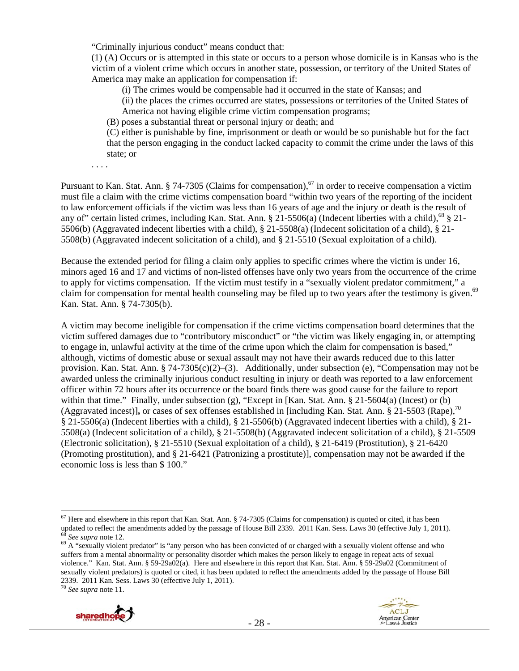"Criminally injurious conduct" means conduct that:

(1) (A) Occurs or is attempted in this state or occurs to a person whose domicile is in Kansas who is the victim of a violent crime which occurs in another state, possession, or territory of the United States of America may make an application for compensation if:

(i) The crimes would be compensable had it occurred in the state of Kansas; and

(ii) the places the crimes occurred are states, possessions or territories of the United States of

America not having eligible crime victim compensation programs;

(B) poses a substantial threat or personal injury or death; and

(C) either is punishable by fine, imprisonment or death or would be so punishable but for the fact that the person engaging in the conduct lacked capacity to commit the crime under the laws of this state; or

. . . .

Pursuant to Kan. Stat. Ann. § 74-7305 (Claims for compensation),<sup>67</sup> in order to receive compensation a victim must file a claim with the crime victims compensation board "within two years of the reporting of the incident to law enforcement officials if the victim was less than 16 years of age and the injury or death is the result of any of" certain listed crimes, including Kan. Stat. Ann. § 21-5506(a) (Indecent liberties with a child),<sup>68</sup> § 21-5506(b) (Aggravated indecent liberties with a child), § 21-5508(a) (Indecent solicitation of a child), § 21- 5508(b) (Aggravated indecent solicitation of a child), and § 21-5510 (Sexual exploitation of a child).

Because the extended period for filing a claim only applies to specific crimes where the victim is under 16, minors aged 16 and 17 and victims of non-listed offenses have only two years from the occurrence of the crime to apply for victims compensation. If the victim must testify in a "sexually violent predator commitment," a claim for compensation for mental health counseling may be filed up to two years after the testimony is given.<sup>69</sup> Kan. Stat. Ann. § 74-7305(b).

A victim may become ineligible for compensation if the crime victims compensation board determines that the victim suffered damages due to "contributory misconduct" or "the victim was likely engaging in, or attempting to engage in, unlawful activity at the time of the crime upon which the claim for compensation is based," although, victims of domestic abuse or sexual assault may not have their awards reduced due to this latter provision. Kan. Stat. Ann. § 74-7305(c)(2)–(3). Additionally, under subsection (e), "Compensation may not be awarded unless the criminally injurious conduct resulting in injury or death was reported to a law enforcement officer within 72 hours after its occurrence or the board finds there was good cause for the failure to report within that time." Finally, under subsection (g), "Except in [Kan. Stat. Ann. § 21-5604(a) (Incest) or (b) (Aggravated incest)]**,** or cases of sex offenses established in [including Kan. Stat. Ann. § 21-5503 (Rape),70 § 21-5506(a) (Indecent liberties with a child), § 21-5506(b) (Aggravated indecent liberties with a child), § 21- 5508(a) (Indecent solicitation of a child), § 21-5508(b) (Aggravated indecent solicitation of a child), § 21-5509 (Electronic solicitation), § 21-5510 (Sexual exploitation of a child), § 21-6419 (Prostitution), § 21-6420 (Promoting prostitution), and § 21-6421 (Patronizing a prostitute)], compensation may not be awarded if the economic loss is less than \$ 100."

 $\overline{a}$ 



 $67$  Here and elsewhere in this report that Kan. Stat. Ann. § 74-7305 (Claims for compensation) is quoted or cited, it has been updated to reflect the amendments added by the passage of House Bill 2339. 2011 Kan. Sess. Laws 30 (effective July 1, 2011).<br><sup>68</sup> See supra note 12.<br><sup>69</sup> A "sexually violent predator" is "any person who has been convicted

suffers from a mental abnormality or personality disorder which makes the person likely to engage in repeat acts of sexual violence." Kan. Stat. Ann. § 59-29a02(a). Here and elsewhere in this report that Kan. Stat. Ann. § 59-29a02 (Commitment of sexually violent predators) is quoted or cited, it has been updated to reflect the amendments added by the passage of House Bill 2339. 2011 Kan. Sess. Laws 30 (effective July 1, 2011). 70 *See supra* note 11.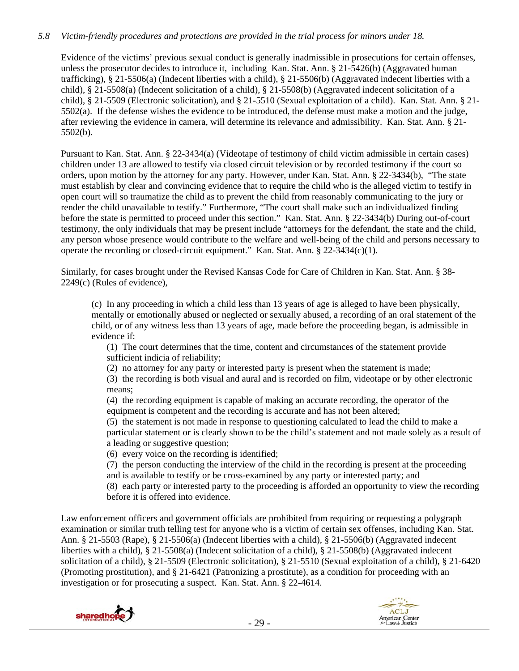# *5.8 Victim-friendly procedures and protections are provided in the trial process for minors under 18.*

Evidence of the victims' previous sexual conduct is generally inadmissible in prosecutions for certain offenses, unless the prosecutor decides to introduce it, including Kan. Stat. Ann. § 21-5426(b) (Aggravated human trafficking), § 21-5506(a) (Indecent liberties with a child), § 21-5506(b) (Aggravated indecent liberties with a child), § 21-5508(a) (Indecent solicitation of a child), § 21-5508(b) (Aggravated indecent solicitation of a child), § 21-5509 (Electronic solicitation), and § 21-5510 (Sexual exploitation of a child). Kan. Stat. Ann. § 21-  $5502(a)$ . If the defense wishes the evidence to be introduced, the defense must make a motion and the judge, after reviewing the evidence in camera, will determine its relevance and admissibility. Kan. Stat. Ann. § 21- 5502(b).

Pursuant to Kan. Stat. Ann. § 22-3434(a) (Videotape of testimony of child victim admissible in certain cases) children under 13 are allowed to testify via closed circuit television or by recorded testimony if the court so orders, upon motion by the attorney for any party. However, under Kan. Stat. Ann. § 22-3434(b), "The state must establish by clear and convincing evidence that to require the child who is the alleged victim to testify in open court will so traumatize the child as to prevent the child from reasonably communicating to the jury or render the child unavailable to testify." Furthermore, "The court shall make such an individualized finding before the state is permitted to proceed under this section." Kan. Stat. Ann. § 22-3434(b) During out-of-court testimony, the only individuals that may be present include "attorneys for the defendant, the state and the child, any person whose presence would contribute to the welfare and well-being of the child and persons necessary to operate the recording or closed-circuit equipment." Kan. Stat. Ann. § 22-3434(c)(1).

Similarly, for cases brought under the Revised Kansas Code for Care of Children in Kan. Stat. Ann. § 38- 2249(c) (Rules of evidence),

(c) In any proceeding in which a child less than 13 years of age is alleged to have been physically, mentally or emotionally abused or neglected or sexually abused, a recording of an oral statement of the child, or of any witness less than 13 years of age, made before the proceeding began, is admissible in evidence if:

(1) The court determines that the time, content and circumstances of the statement provide sufficient indicia of reliability;

(2) no attorney for any party or interested party is present when the statement is made;

(3) the recording is both visual and aural and is recorded on film, videotape or by other electronic means;

(4) the recording equipment is capable of making an accurate recording, the operator of the equipment is competent and the recording is accurate and has not been altered;

(5) the statement is not made in response to questioning calculated to lead the child to make a particular statement or is clearly shown to be the child's statement and not made solely as a result of a leading or suggestive question;

(6) every voice on the recording is identified;

(7) the person conducting the interview of the child in the recording is present at the proceeding and is available to testify or be cross-examined by any party or interested party; and

(8) each party or interested party to the proceeding is afforded an opportunity to view the recording before it is offered into evidence.

Law enforcement officers and government officials are prohibited from requiring or requesting a polygraph examination or similar truth telling test for anyone who is a victim of certain sex offenses, including Kan. Stat. Ann. § 21-5503 (Rape), § 21-5506(a) (Indecent liberties with a child), § 21-5506(b) (Aggravated indecent liberties with a child), § 21-5508(a) (Indecent solicitation of a child), § 21-5508(b) (Aggravated indecent solicitation of a child), § 21-5509 (Electronic solicitation), § 21-5510 (Sexual exploitation of a child), § 21-6420 (Promoting prostitution), and § 21-6421 (Patronizing a prostitute), as a condition for proceeding with an investigation or for prosecuting a suspect. Kan. Stat. Ann. § 22-4614.



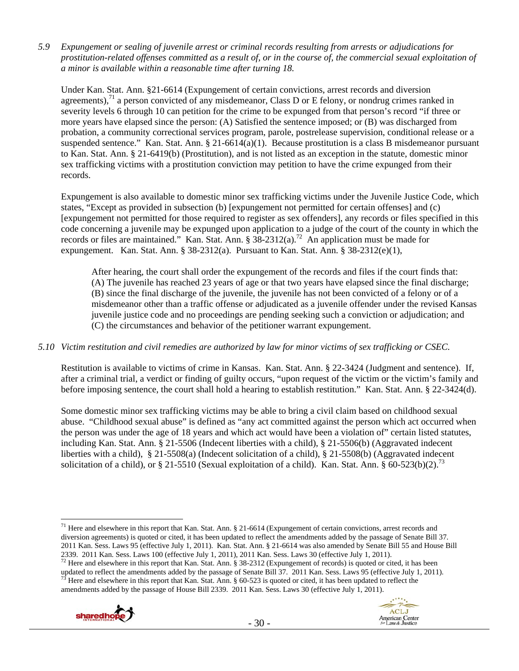*5.9 Expungement or sealing of juvenile arrest or criminal records resulting from arrests or adjudications for prostitution-related offenses committed as a result of, or in the course of, the commercial sexual exploitation of a minor is available within a reasonable time after turning 18.* 

Under Kan. Stat. Ann. §21-6614 (Expungement of certain convictions, arrest records and diversion agreements), $^{71}$  a person convicted of any misdemeanor, Class D or E felony, or nondrug crimes ranked in severity levels 6 through 10 can petition for the crime to be expunged from that person's record "if three or more years have elapsed since the person: (A) Satisfied the sentence imposed; or (B) was discharged from probation, a community correctional services program, parole, postrelease supervision, conditional release or a suspended sentence." Kan. Stat. Ann. § 21-6614(a)(1). Because prostitution is a class B misdemeanor pursuant to Kan. Stat. Ann. § 21-6419(b) (Prostitution), and is not listed as an exception in the statute, domestic minor sex trafficking victims with a prostitution conviction may petition to have the crime expunged from their records.

Expungement is also available to domestic minor sex trafficking victims under the Juvenile Justice Code, which states, "Except as provided in subsection (b) [expungement not permitted for certain offenses] and (c) [expungement not permitted for those required to register as sex offenders], any records or files specified in this code concerning a juvenile may be expunged upon application to a judge of the court of the county in which the records or files are maintained." Kan. Stat. Ann.  $\S 38-2312(a)$ .<sup>72</sup> An application must be made for expungement. Kan. Stat. Ann. § 38-2312(a). Pursuant to Kan. Stat. Ann. § 38-2312(e)(1),

After hearing, the court shall order the expungement of the records and files if the court finds that: (A) The juvenile has reached 23 years of age or that two years have elapsed since the final discharge; (B) since the final discharge of the juvenile, the juvenile has not been convicted of a felony or of a misdemeanor other than a traffic offense or adjudicated as a juvenile offender under the revised Kansas juvenile justice code and no proceedings are pending seeking such a conviction or adjudication; and (C) the circumstances and behavior of the petitioner warrant expungement.

# *5.10 Victim restitution and civil remedies are authorized by law for minor victims of sex trafficking or CSEC.*

Restitution is available to victims of crime in Kansas. Kan. Stat. Ann. § 22-3424 (Judgment and sentence). If, after a criminal trial, a verdict or finding of guilty occurs, "upon request of the victim or the victim's family and before imposing sentence, the court shall hold a hearing to establish restitution." Kan. Stat. Ann. § 22-3424(d).

Some domestic minor sex trafficking victims may be able to bring a civil claim based on childhood sexual abuse. "Childhood sexual abuse" is defined as "any act committed against the person which act occurred when the person was under the age of 18 years and which act would have been a violation of" certain listed statutes, including Kan. Stat. Ann. § 21-5506 (Indecent liberties with a child), § 21-5506(b) (Aggravated indecent liberties with a child), § 21-5508(a) (Indecent solicitation of a child), § 21-5508(b) (Aggravated indecent solicitation of a child), or § 21-5510 (Sexual exploitation of a child). Kan. Stat. Ann. § 60-523(b)(2).<sup>73</sup>

updated to reflect the amendments added by the passage of Senate Bill 37. 2011 Kan. Sess. Laws 95 (effective July 1, 2011).<br><sup>73</sup> Here and elsewhere in this report that Kan. Stat. Ann. § 60-523 is quoted or cited, it has be amendments added by the passage of House Bill 2339. 2011 Kan. Sess. Laws 30 (effective July 1, 2011).





 $\overline{a}$  $71$  Here and elsewhere in this report that Kan. Stat. Ann. § 21-6614 (Expungement of certain convictions, arrest records and diversion agreements) is quoted or cited, it has been updated to reflect the amendments added by the passage of Senate Bill 37. 2011 Kan. Sess. Laws 95 (effective July 1, 2011). Kan. Stat. Ann. § 21-6614 was also amended by Senate Bill 55 and House Bill 2339. 2011 Kan. Sess. Laws 100 (effective July 1, 2011), 2011 Kan. Sess. Laws 30 (effective July 1, 2011).<br><sup>72</sup> Here and elsewhere in this report that Kan. Stat. Ann. § 38-2312 (Expungement of records) is quoted or cited,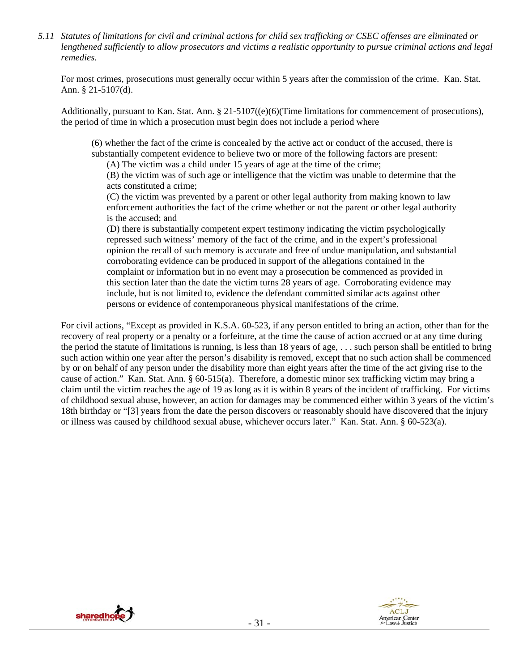*5.11 Statutes of limitations for civil and criminal actions for child sex trafficking or CSEC offenses are eliminated or lengthened sufficiently to allow prosecutors and victims a realistic opportunity to pursue criminal actions and legal remedies.* 

For most crimes, prosecutions must generally occur within 5 years after the commission of the crime. Kan. Stat. Ann. § 21-5107(d).

Additionally, pursuant to Kan. Stat. Ann. § 21-5107((e)(6)(Time limitations for commencement of prosecutions), the period of time in which a prosecution must begin does not include a period where

(6) whether the fact of the crime is concealed by the active act or conduct of the accused, there is substantially competent evidence to believe two or more of the following factors are present:

(A) The victim was a child under 15 years of age at the time of the crime;

(B) the victim was of such age or intelligence that the victim was unable to determine that the acts constituted a crime;

(C) the victim was prevented by a parent or other legal authority from making known to law enforcement authorities the fact of the crime whether or not the parent or other legal authority is the accused; and

(D) there is substantially competent expert testimony indicating the victim psychologically repressed such witness' memory of the fact of the crime, and in the expert's professional opinion the recall of such memory is accurate and free of undue manipulation, and substantial corroborating evidence can be produced in support of the allegations contained in the complaint or information but in no event may a prosecution be commenced as provided in this section later than the date the victim turns 28 years of age. Corroborating evidence may include, but is not limited to, evidence the defendant committed similar acts against other persons or evidence of contemporaneous physical manifestations of the crime.

For civil actions, "Except as provided in K.S.A. 60-523, if any person entitled to bring an action, other than for the recovery of real property or a penalty or a forfeiture, at the time the cause of action accrued or at any time during the period the statute of limitations is running, is less than 18 years of age, . . . such person shall be entitled to bring such action within one year after the person's disability is removed, except that no such action shall be commenced by or on behalf of any person under the disability more than eight years after the time of the act giving rise to the cause of action." Kan. Stat. Ann. § 60-515(a). Therefore, a domestic minor sex trafficking victim may bring a claim until the victim reaches the age of 19 as long as it is within 8 years of the incident of trafficking. For victims of childhood sexual abuse, however, an action for damages may be commenced either within 3 years of the victim's 18th birthday or "[3] years from the date the person discovers or reasonably should have discovered that the injury or illness was caused by childhood sexual abuse, whichever occurs later." Kan. Stat. Ann. § 60-523(a).



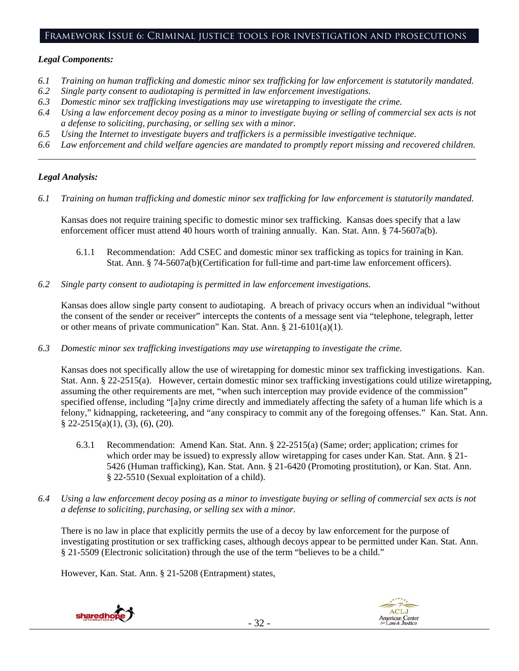## Framework Issue 6: Criminal justice tools for investigation and prosecutions

## *Legal Components:*

- *6.1 Training on human trafficking and domestic minor sex trafficking for law enforcement is statutorily mandated.*
- *6.2 Single party consent to audiotaping is permitted in law enforcement investigations.*
- *6.3 Domestic minor sex trafficking investigations may use wiretapping to investigate the crime.*
- *6.4 Using a law enforcement decoy posing as a minor to investigate buying or selling of commercial sex acts is not a defense to soliciting, purchasing, or selling sex with a minor.*
- *6.5 Using the Internet to investigate buyers and traffickers is a permissible investigative technique.*
- *6.6 Law enforcement and child welfare agencies are mandated to promptly report missing and recovered children. \_\_\_\_\_\_\_\_\_\_\_\_\_\_\_\_\_\_\_\_\_\_\_\_\_\_\_\_\_\_\_\_\_\_\_\_\_\_\_\_\_\_\_\_\_\_\_\_\_\_\_\_\_\_\_\_\_\_\_\_\_\_\_\_\_\_\_\_\_\_\_\_\_\_\_\_\_\_\_\_\_\_\_\_\_\_\_\_\_\_\_\_\_\_*

# *Legal Analysis:*

*6.1 Training on human trafficking and domestic minor sex trafficking for law enforcement is statutorily mandated.* 

Kansas does not require training specific to domestic minor sex trafficking. Kansas does specify that a law enforcement officer must attend 40 hours worth of training annually. Kan. Stat. Ann. § 74-5607a(b).

- 6.1.1 Recommendation: Add CSEC and domestic minor sex trafficking as topics for training in Kan. Stat. Ann. § 74-5607a(b)(Certification for full-time and part-time law enforcement officers).
- *6.2 Single party consent to audiotaping is permitted in law enforcement investigations.*

Kansas does allow single party consent to audiotaping. A breach of privacy occurs when an individual "without the consent of the sender or receiver" intercepts the contents of a message sent via "telephone, telegraph, letter or other means of private communication" Kan. Stat. Ann. § 21-6101(a)(1).

*6.3 Domestic minor sex trafficking investigations may use wiretapping to investigate the crime.* 

Kansas does not specifically allow the use of wiretapping for domestic minor sex trafficking investigations. Kan. Stat. Ann. § 22-2515(a). However, certain domestic minor sex trafficking investigations could utilize wiretapping, assuming the other requirements are met, "when such interception may provide evidence of the commission" specified offense, including "[a]ny crime directly and immediately affecting the safety of a human life which is a felony," kidnapping, racketeering, and "any conspiracy to commit any of the foregoing offenses." Kan. Stat. Ann. § 22-2515(a)(1), (3), (6), (20).

- 6.3.1 Recommendation: Amend Kan. Stat. Ann. § 22-2515(a) (Same; order; application; crimes for which order may be issued) to expressly allow wiretapping for cases under Kan. Stat. Ann. § 21- 5426 (Human trafficking), Kan. Stat. Ann. § 21-6420 (Promoting prostitution), or Kan. Stat. Ann. § 22-5510 (Sexual exploitation of a child).
- *6.4 Using a law enforcement decoy posing as a minor to investigate buying or selling of commercial sex acts is not a defense to soliciting, purchasing, or selling sex with a minor.*

There is no law in place that explicitly permits the use of a decoy by law enforcement for the purpose of investigating prostitution or sex trafficking cases, although decoys appear to be permitted under Kan. Stat. Ann. § 21-5509 (Electronic solicitation) through the use of the term "believes to be a child."

However, Kan. Stat. Ann. § 21-5208 (Entrapment) states,